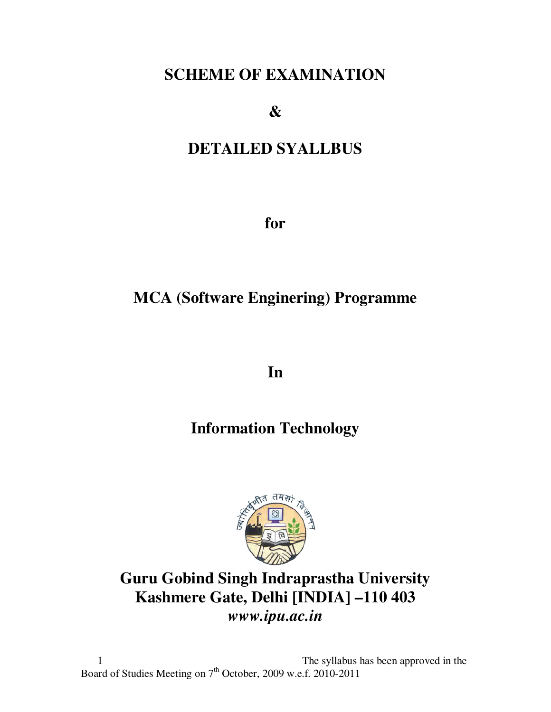# **SCHEME OF EXAMINATION**

**&** 

# **DETAILED SYALLBUS**

**for** 

# **MCA (Software Enginering) Programme**

**In** 

# **Information Technology**



# **Guru Gobind Singh Indraprastha University Kashmere Gate, Delhi [INDIA] –110 403**  *www.ipu.ac.in*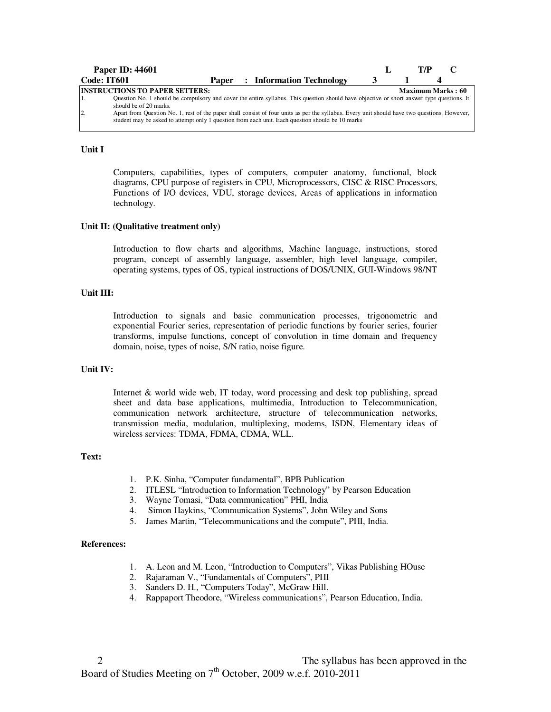| <b>Paper ID: 44601</b>                                                                                                                                              |  |  |  |                                                                                                                                                                                                                                                  |  |  | T/P                      |  |  |
|---------------------------------------------------------------------------------------------------------------------------------------------------------------------|--|--|--|--------------------------------------------------------------------------------------------------------------------------------------------------------------------------------------------------------------------------------------------------|--|--|--------------------------|--|--|
| Code: IT601                                                                                                                                                         |  |  |  | <b>Paper</b> : Information Technology                                                                                                                                                                                                            |  |  |                          |  |  |
| <b>INSTRUCTIONS TO PAPER SETTERS:</b>                                                                                                                               |  |  |  |                                                                                                                                                                                                                                                  |  |  | <b>Maximum Marks: 60</b> |  |  |
| Question No. 1 should be compulsory and cover the entire syllabus. This question should have objective or short answer type questions. It<br>should be of 20 marks. |  |  |  |                                                                                                                                                                                                                                                  |  |  |                          |  |  |
| $\overline{2}$ .                                                                                                                                                    |  |  |  | Apart from Question No. 1, rest of the paper shall consist of four units as per the syllabus. Every unit should have two questions. However,<br>student may be asked to attempt only 1 question from each unit. Each question should be 10 marks |  |  |                          |  |  |

## **Unit I**

Computers, capabilities, types of computers, computer anatomy, functional, block diagrams, CPU purpose of registers in CPU, Microprocessors, CISC & RISC Processors, Functions of I/O devices, VDU, storage devices, Areas of applications in information technology.

#### **Unit II: (Qualitative treatment only)**

Introduction to flow charts and algorithms, Machine language, instructions, stored program, concept of assembly language, assembler, high level language, compiler, operating systems, types of OS, typical instructions of DOS/UNIX, GUI-Windows 98/NT

## **Unit III:**

Introduction to signals and basic communication processes, trigonometric and exponential Fourier series, representation of periodic functions by fourier series, fourier transforms, impulse functions, concept of convolution in time domain and frequency domain, noise, types of noise, S/N ratio, noise figure.

#### **Unit IV:**

Internet & world wide web, IT today, word processing and desk top publishing, spread sheet and data base applications, multimedia, Introduction to Telecommunication, communication network architecture, structure of telecommunication networks, transmission media, modulation, multiplexing, modems, ISDN, Elementary ideas of wireless services: TDMA, FDMA, CDMA, WLL.

#### **Text:**

- 1. P.K. Sinha, "Computer fundamental", BPB Publication
- 2. ITLESL "Introduction to Information Technology" by Pearson Education
- 3. Wayne Tomasi, "Data communication" PHI, India
- 4. Simon Haykins, "Communication Systems", John Wiley and Sons
- 5. James Martin, "Telecommunications and the compute", PHI, India.

#### **References:**

- 1. A. Leon and M. Leon, "Introduction to Computers", Vikas Publishing HOuse
- 2. Rajaraman V., "Fundamentals of Computers", PHI
- 3. Sanders D. H., "Computers Today", McGraw Hill.
- 4. Rappaport Theodore, "Wireless communications", Pearson Education, India.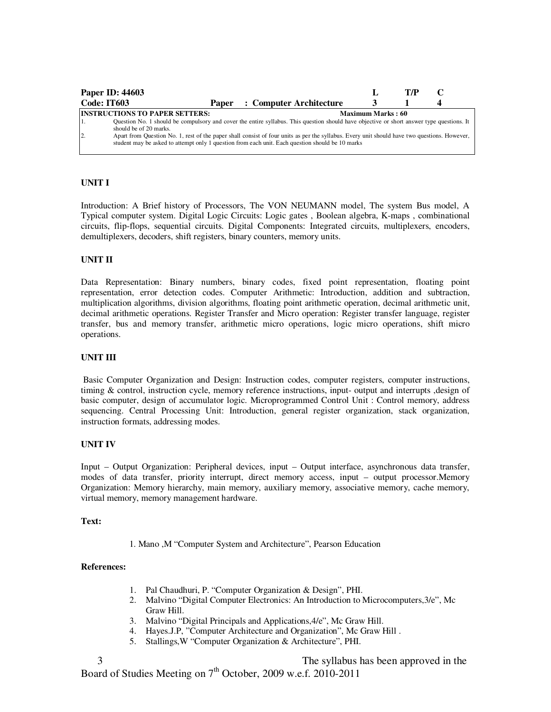|                | <b>Paper ID: 44603</b>                                                                                                                                              |       |  |                                                                                                                                                                                                                                                  |                          | T/P |  |
|----------------|---------------------------------------------------------------------------------------------------------------------------------------------------------------------|-------|--|--------------------------------------------------------------------------------------------------------------------------------------------------------------------------------------------------------------------------------------------------|--------------------------|-----|--|
|                | Code: IT603                                                                                                                                                         | Paper |  | : Computer Architecture                                                                                                                                                                                                                          |                          |     |  |
|                | <b>INSTRUCTIONS TO PAPER SETTERS:</b>                                                                                                                               |       |  |                                                                                                                                                                                                                                                  | <b>Maximum Marks: 60</b> |     |  |
|                | Question No. 1 should be compulsory and cover the entire syllabus. This question should have objective or short answer type questions. It<br>should be of 20 marks. |       |  |                                                                                                                                                                                                                                                  |                          |     |  |
| $\overline{2}$ |                                                                                                                                                                     |       |  | Apart from Question No. 1, rest of the paper shall consist of four units as per the syllabus. Every unit should have two questions. However,<br>student may be asked to attempt only 1 question from each unit. Each question should be 10 marks |                          |     |  |

Introduction: A Brief history of Processors, The VON NEUMANN model, The system Bus model, A Typical computer system. Digital Logic Circuits: Logic gates , Boolean algebra, K-maps , combinational circuits, flip-flops, sequential circuits. Digital Components: Integrated circuits, multiplexers, encoders, demultiplexers, decoders, shift registers, binary counters, memory units.

## **UNIT II**

Data Representation: Binary numbers, binary codes, fixed point representation, floating point representation, error detection codes. Computer Arithmetic: Introduction, addition and subtraction, multiplication algorithms, division algorithms, floating point arithmetic operation, decimal arithmetic unit, decimal arithmetic operations. Register Transfer and Micro operation: Register transfer language, register transfer, bus and memory transfer, arithmetic micro operations, logic micro operations, shift micro operations.

#### **UNIT III**

 Basic Computer Organization and Design: Instruction codes, computer registers, computer instructions, timing & control, instruction cycle, memory reference instructions, input- output and interrupts ,design of basic computer, design of accumulator logic. Microprogrammed Control Unit : Control memory, address sequencing. Central Processing Unit: Introduction, general register organization, stack organization, instruction formats, addressing modes.

#### **UNIT IV**

Input – Output Organization: Peripheral devices, input – Output interface, asynchronous data transfer, modes of data transfer, priority interrupt, direct memory access, input – output processor.Memory Organization: Memory hierarchy, main memory, auxiliary memory, associative memory, cache memory, virtual memory, memory management hardware.

#### **Text:**

1. Mano ,M "Computer System and Architecture", Pearson Education

#### **References:**

- 1. Pal Chaudhuri, P. "Computer Organization & Design", PHI.
- 2. Malvino "Digital Computer Electronics: An Introduction to Microcomputers,3/e", Mc Graw Hill.
- 3. Malvino "Digital Principals and Applications,4/e", Mc Graw Hill.
- 4. Hayes.J.P, "Computer Architecture and Organization", Mc Graw Hill .
- 5. Stallings,W "Computer Organization & Architecture", PHI.

 3 The syllabus has been approved in the Board of Studies Meeting on 7<sup>th</sup> October, 2009 w.e.f. 2010-2011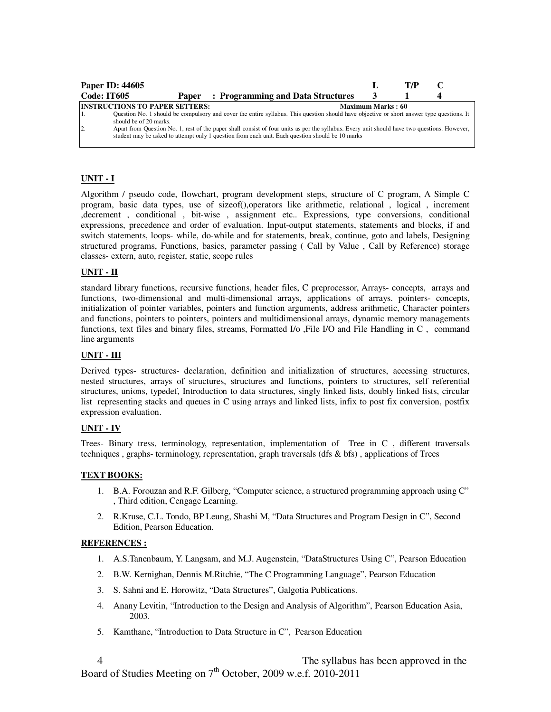| Paper ID: 44605 |                                                                 |                                                                                                                                                                                                                                                                                                                                                                                               |                          | T/P |  |
|-----------------|-----------------------------------------------------------------|-----------------------------------------------------------------------------------------------------------------------------------------------------------------------------------------------------------------------------------------------------------------------------------------------------------------------------------------------------------------------------------------------|--------------------------|-----|--|
| Code: IT605     |                                                                 | <b>Paper</b> : Programming and Data Structures                                                                                                                                                                                                                                                                                                                                                |                          |     |  |
| 2               | <b>INSTRUCTIONS TO PAPER SETTERS:</b><br>should be of 20 marks. | Question No. 1 should be compulsory and cover the entire syllabus. This question should have objective or short answer type questions. It<br>Apart from Question No. 1, rest of the paper shall consist of four units as per the syllabus. Every unit should have two questions. However,<br>student may be asked to attempt only 1 question from each unit. Each question should be 10 marks | <b>Maximum Marks: 60</b> |     |  |

# **UNIT - I**

Algorithm / pseudo code, flowchart, program development steps, structure of C program, A Simple C program, basic data types, use of sizeof(),operators like arithmetic, relational , logical , increment ,decrement , conditional , bit-wise , assignment etc.. Expressions, type conversions, conditional expressions, precedence and order of evaluation. Input-output statements, statements and blocks, if and switch statements, loops- while, do-while and for statements, break, continue, goto and labels, Designing structured programs, Functions, basics, parameter passing ( Call by Value , Call by Reference) storage classes- extern, auto, register, static, scope rules

## **UNIT - II**

standard library functions, recursive functions, header files, C preprocessor, Arrays- concepts, arrays and functions, two-dimensional and multi-dimensional arrays, applications of arrays. pointers- concepts, initialization of pointer variables, pointers and function arguments, address arithmetic, Character pointers and functions, pointers to pointers, pointers and multidimensional arrays, dynamic memory managements functions, text files and binary files, streams, Formatted I/o ,File I/O and File Handling in C , command line arguments

## **UNIT - III**

Derived types- structures- declaration, definition and initialization of structures, accessing structures, nested structures, arrays of structures, structures and functions, pointers to structures, self referential structures, unions, typedef, Introduction to data structures, singly linked lists, doubly linked lists, circular list representing stacks and queues in C using arrays and linked lists, infix to post fix conversion, postfix expression evaluation.

# **UNIT - IV**

Trees- Binary tress, terminology, representation, implementation of Tree in C , different traversals techniques , graphs- terminology, representation, graph traversals (dfs & bfs) , applications of Trees

# **TEXT BOOKS:**

- 1. B.A. Forouzan and R.F. Gilberg, "Computer science, a structured programming approach using C" , Third edition, Cengage Learning.
- 2. R.Kruse, C.L. Tondo, BP Leung, Shashi M, "Data Structures and Program Design in C", Second Edition, Pearson Education.

## **REFERENCES :**

- 1. A.S.Tanenbaum, Y. Langsam, and M.J. Augenstein, "DataStructures Using C", Pearson Education
- 2. B.W. Kernighan, Dennis M.Ritchie, "The C Programming Language", Pearson Education
- 3. S. Sahni and E. Horowitz, "Data Structures", Galgotia Publications.
- 4. Anany Levitin, "Introduction to the Design and Analysis of Algorithm", Pearson Education Asia, 2003.
- 5. Kamthane, "Introduction to Data Structure in C", Pearson Education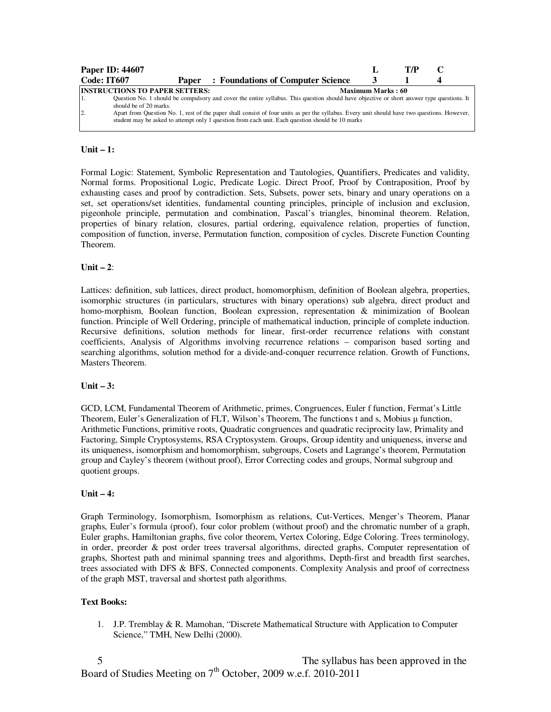|             | <b>Paper ID: 44607</b>                                                                                                                                                                                                                           |                          | T/P |  |  |  |  |  |
|-------------|--------------------------------------------------------------------------------------------------------------------------------------------------------------------------------------------------------------------------------------------------|--------------------------|-----|--|--|--|--|--|
| Code: IT607 | : Foundations of Computer Science<br>Paper                                                                                                                                                                                                       |                          |     |  |  |  |  |  |
|             | <b>INSTRUCTIONS TO PAPER SETTERS:</b>                                                                                                                                                                                                            | <b>Maximum Marks: 60</b> |     |  |  |  |  |  |
|             | Question No. 1 should be compulsory and cover the entire syllabus. This question should have objective or short answer type questions. It<br>should be of 20 marks.                                                                              |                          |     |  |  |  |  |  |
| 12.         | Apart from Question No. 1, rest of the paper shall consist of four units as per the syllabus. Every unit should have two questions. However,<br>student may be asked to attempt only 1 question from each unit. Each question should be 10 marks |                          |     |  |  |  |  |  |

## **Unit – 1:**

Formal Logic: Statement, Symbolic Representation and Tautologies, Quantifiers, Predicates and validity, Normal forms. Propositional Logic, Predicate Logic. Direct Proof, Proof by Contraposition, Proof by exhausting cases and proof by contradiction. Sets, Subsets, power sets, binary and unary operations on a set, set operations/set identities, fundamental counting principles, principle of inclusion and exclusion, pigeonhole principle, permutation and combination, Pascal's triangles, binominal theorem. Relation, properties of binary relation, closures, partial ordering, equivalence relation, properties of function, composition of function, inverse, Permutation function, composition of cycles. Discrete Function Counting Theorem.

## **Unit – 2**:

Lattices: definition, sub lattices, direct product, homomorphism, definition of Boolean algebra, properties, isomorphic structures (in particulars, structures with binary operations) sub algebra, direct product and homo-morphism, Boolean function, Boolean expression, representation & minimization of Boolean function. Principle of Well Ordering, principle of mathematical induction, principle of complete induction. Recursive definitions, solution methods for linear, first-order recurrence relations with constant coefficients, Analysis of Algorithms involving recurrence relations – comparison based sorting and searching algorithms, solution method for a divide-and-conquer recurrence relation. Growth of Functions, Masters Theorem.

#### **Unit – 3:**

GCD, LCM, Fundamental Theorem of Arithmetic, primes, Congruences, Euler f function, Fermat's Little Theorem, Euler's Generalization of FLT, Wilson's Theorem, The functions t and s, Mobius µ function, Arithmetic Functions, primitive roots, Quadratic congruences and quadratic reciprocity law, Primality and Factoring, Simple Cryptosystems, RSA Cryptosystem. Groups, Group identity and uniqueness, inverse and its uniqueness, isomorphism and homomorphism, subgroups, Cosets and Lagrange's theorem, Permutation group and Cayley's theorem (without proof), Error Correcting codes and groups, Normal subgroup and quotient groups.

#### **Unit – 4:**

Graph Terminology, Isomorphism, Isomorphism as relations, Cut-Vertices, Menger's Theorem, Planar graphs, Euler's formula (proof), four color problem (without proof) and the chromatic number of a graph, Euler graphs, Hamiltonian graphs, five color theorem, Vertex Coloring, Edge Coloring. Trees terminology, in order, preorder & post order trees traversal algorithms, directed graphs, Computer representation of graphs, Shortest path and minimal spanning trees and algorithms, Depth-first and breadth first searches, trees associated with DFS & BFS, Connected components. Complexity Analysis and proof of correctness of the graph MST, traversal and shortest path algorithms.

#### **Text Books:**

1. J.P. Tremblay & R. Mamohan, "Discrete Mathematical Structure with Application to Computer Science," TMH, New Delhi (2000).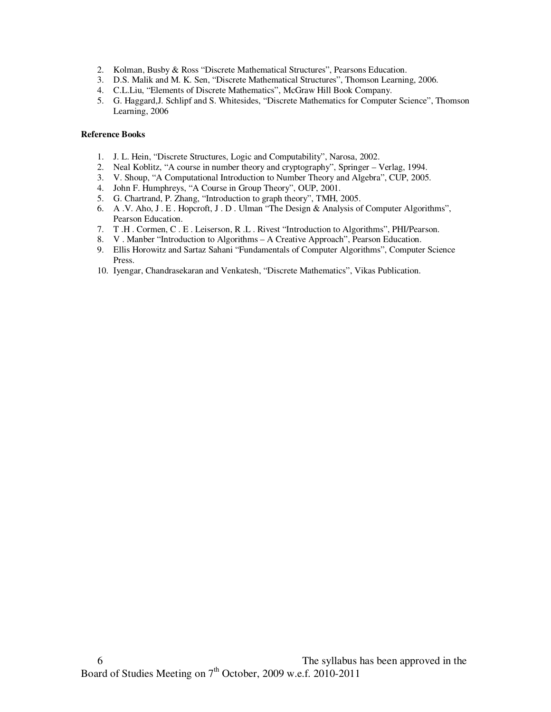- 2. Kolman, Busby & Ross "Discrete Mathematical Structures", Pearsons Education.
- 3. D.S. Malik and M. K. Sen, "Discrete Mathematical Structures", Thomson Learning, 2006.
- 4. C.L.Liu, "Elements of Discrete Mathematics", McGraw Hill Book Company.
- 5. G. Haggard,J. Schlipf and S. Whitesides, "Discrete Mathematics for Computer Science", Thomson Learning, 2006

- 1. J. L. Hein, "Discrete Structures, Logic and Computability", Narosa, 2002.
- 2. Neal Koblitz, "A course in number theory and cryptography", Springer Verlag, 1994.
- 3. V. Shoup, "A Computational Introduction to Number Theory and Algebra", CUP, 2005.
- 4. John F. Humphreys, "A Course in Group Theory", OUP, 2001.
- 5. G. Chartrand, P. Zhang, "Introduction to graph theory", TMH, 2005.
- 6. A .V. Aho, J . E . Hopcroft, J . D . Ulman "The Design & Analysis of Computer Algorithms", Pearson Education.
- 7. T .H . Cormen, C . E . Leiserson, R .L . Rivest "Introduction to Algorithms", PHI/Pearson.
- 8. V . Manber "Introduction to Algorithms A Creative Approach", Pearson Education.
- 9. Ellis Horowitz and Sartaz Sahani "Fundamentals of Computer Algorithms", Computer Science Press.
- 10. Iyengar, Chandrasekaran and Venkatesh, "Discrete Mathematics", Vikas Publication.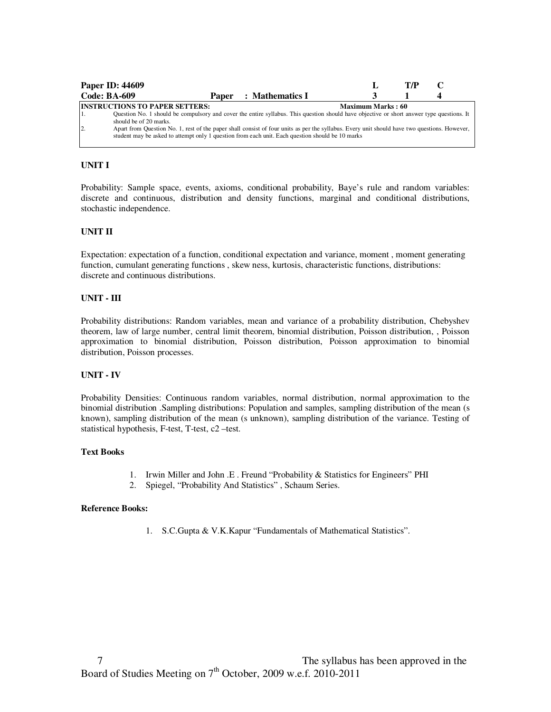|                     | <b>Paper ID: 44609</b>                |  |                                                                                                                                                                                                                                                  |                          | T7P |  |
|---------------------|---------------------------------------|--|--------------------------------------------------------------------------------------------------------------------------------------------------------------------------------------------------------------------------------------------------|--------------------------|-----|--|
| <b>Code: BA-609</b> |                                       |  | <b>Paper</b> : Mathematics I                                                                                                                                                                                                                     |                          |     |  |
|                     | <b>INSTRUCTIONS TO PAPER SETTERS:</b> |  | Question No. 1 should be compulsory and cover the entire syllabus. This question should have objective or short answer type questions. It                                                                                                        | <b>Maximum Marks: 60</b> |     |  |
| $\overline{2}$      | should be of 20 marks.                |  | Apart from Question No. 1, rest of the paper shall consist of four units as per the syllabus. Every unit should have two questions. However,<br>student may be asked to attempt only 1 question from each unit. Each question should be 10 marks |                          |     |  |

Probability: Sample space, events, axioms, conditional probability, Baye's rule and random variables: discrete and continuous, distribution and density functions, marginal and conditional distributions, stochastic independence.

## **UNIT II**

Expectation: expectation of a function, conditional expectation and variance, moment , moment generating function, cumulant generating functions , skew ness, kurtosis, characteristic functions, distributions: discrete and continuous distributions.

## **UNIT - III**

Probability distributions: Random variables, mean and variance of a probability distribution, Chebyshev theorem, law of large number, central limit theorem, binomial distribution, Poisson distribution, , Poisson approximation to binomial distribution, Poisson distribution, Poisson approximation to binomial distribution, Poisson processes.

## **UNIT - IV**

Probability Densities: Continuous random variables, normal distribution, normal approximation to the binomial distribution .Sampling distributions: Population and samples, sampling distribution of the mean (s known), sampling distribution of the mean (s unknown), sampling distribution of the variance. Testing of statistical hypothesis, F-test, T-test, c2 –test.

## **Text Books**

- 1. Irwin Miller and John .E . Freund "Probability & Statistics for Engineers" PHI
- 2. Spiegel, "Probability And Statistics" , Schaum Series.

#### **Reference Books:**

1. S.C.Gupta & V.K.Kapur "Fundamentals of Mathematical Statistics".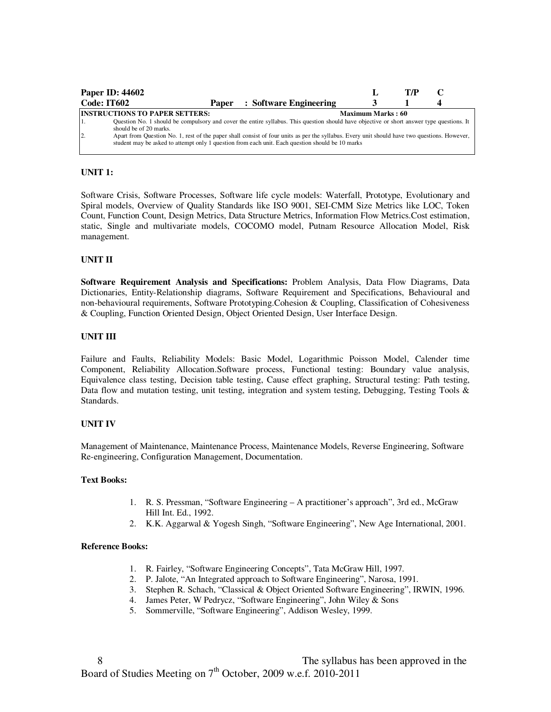|                | <b>Paper ID: 44602</b>                                                                                                                                                                                                                                                     |       |                        |                          | T/P |  |
|----------------|----------------------------------------------------------------------------------------------------------------------------------------------------------------------------------------------------------------------------------------------------------------------------|-------|------------------------|--------------------------|-----|--|
| Code: IT602    |                                                                                                                                                                                                                                                                            | Paper | : Software Engineering |                          |     |  |
|                | <b>INSTRUCTIONS TO PAPER SETTERS:</b><br>Question No. 1 should be compulsory and cover the entire syllabus. This question should have objective or short answer type questions. It                                                                                         |       |                        | <b>Maximum Marks: 60</b> |     |  |
| $\overline{2}$ | should be of 20 marks.<br>Apart from Question No. 1, rest of the paper shall consist of four units as per the syllabus. Every unit should have two questions. However,<br>student may be asked to attempt only 1 question from each unit. Each question should be 10 marks |       |                        |                          |     |  |

## **UNIT 1:**

Software Crisis, Software Processes, Software life cycle models: Waterfall, Prototype, Evolutionary and Spiral models, Overview of Quality Standards like ISO 9001, SEI-CMM Size Metrics like LOC, Token Count, Function Count, Design Metrics, Data Structure Metrics, Information Flow Metrics.Cost estimation, static, Single and multivariate models, COCOMO model, Putnam Resource Allocation Model, Risk management.

## **UNIT II**

**Software Requirement Analysis and Specifications:** Problem Analysis, Data Flow Diagrams, Data Dictionaries, Entity-Relationship diagrams, Software Requirement and Specifications, Behavioural and non-behavioural requirements, Software Prototyping.Cohesion & Coupling, Classification of Cohesiveness & Coupling, Function Oriented Design, Object Oriented Design, User Interface Design.

#### **UNIT III**

Failure and Faults, Reliability Models: Basic Model, Logarithmic Poisson Model, Calender time Component, Reliability Allocation.Software process, Functional testing: Boundary value analysis, Equivalence class testing, Decision table testing, Cause effect graphing, Structural testing: Path testing, Data flow and mutation testing, unit testing, integration and system testing, Debugging, Testing Tools & Standards.

#### **UNIT IV**

Management of Maintenance, Maintenance Process, Maintenance Models, Reverse Engineering, Software Re-engineering, Configuration Management, Documentation.

#### **Text Books:**

- 1. R. S. Pressman, "Software Engineering A practitioner's approach", 3rd ed., McGraw Hill Int. Ed., 1992.
- 2. K.K. Aggarwal & Yogesh Singh, "Software Engineering", New Age International, 2001.

- 1. R. Fairley, "Software Engineering Concepts", Tata McGraw Hill, 1997.
- 2. P. Jalote, "An Integrated approach to Software Engineering", Narosa, 1991.
- 3. Stephen R. Schach, "Classical & Object Oriented Software Engineering", IRWIN, 1996.
- 4. James Peter, W Pedrycz, "Software Engineering", John Wiley & Sons
- 5. Sommerville, "Software Engineering", Addison Wesley, 1999.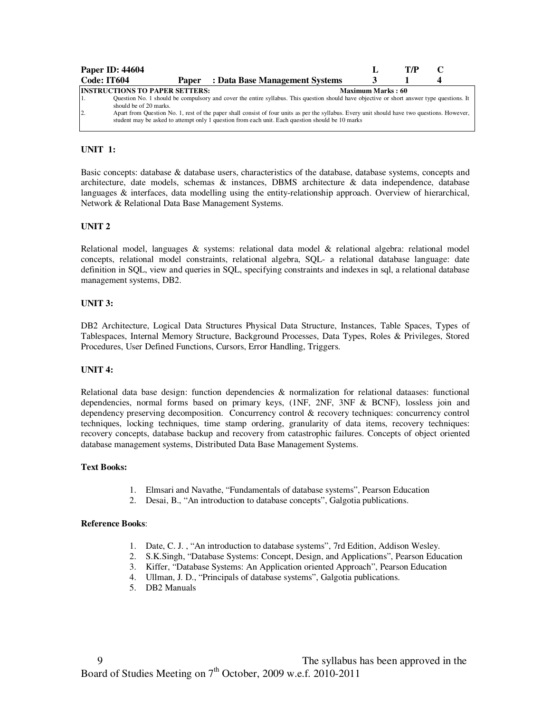|     | <b>Paper ID: 44604</b>                                          |       |                                                                                                                                                                                                                                                                                           |                          | T/P |  |
|-----|-----------------------------------------------------------------|-------|-------------------------------------------------------------------------------------------------------------------------------------------------------------------------------------------------------------------------------------------------------------------------------------------|--------------------------|-----|--|
|     | Code: IT604                                                     | Paper | : Data Base Management Systems                                                                                                                                                                                                                                                            |                          |     |  |
| 12. | <b>INSTRUCTIONS TO PAPER SETTERS:</b><br>should be of 20 marks. |       | Question No. 1 should be compulsory and cover the entire syllabus. This question should have objective or short answer type questions. It<br>Apart from Question No. 1, rest of the paper shall consist of four units as per the syllabus. Every unit should have two questions. However, | <b>Maximum Marks: 60</b> |     |  |
|     |                                                                 |       | student may be asked to attempt only 1 question from each unit. Each question should be 10 marks                                                                                                                                                                                          |                          |     |  |

# **UNIT 1:**

Basic concepts: database & database users, characteristics of the database, database systems, concepts and architecture, date models, schemas & instances, DBMS architecture & data independence, database languages & interfaces, data modelling using the entity-relationship approach. Overview of hierarchical, Network & Relational Data Base Management Systems.

## **UNIT 2**

Relational model, languages & systems: relational data model & relational algebra: relational model concepts, relational model constraints, relational algebra, SQL- a relational database language: date definition in SQL, view and queries in SQL, specifying constraints and indexes in sql, a relational database management systems, DB2.

## **UNIT 3:**

DB2 Architecture, Logical Data Structures Physical Data Structure, Instances, Table Spaces, Types of Tablespaces, Internal Memory Structure, Background Processes, Data Types, Roles & Privileges, Stored Procedures, User Defined Functions, Cursors, Error Handling, Triggers.

#### **UNIT 4:**

Relational data base design: function dependencies & normalization for relational dataases: functional dependencies, normal forms based on primary keys, (1NF, 2NF, 3NF & BCNF), lossless join and dependency preserving decomposition. Concurrency control & recovery techniques: concurrency control techniques, locking techniques, time stamp ordering, granularity of data items, recovery techniques: recovery concepts, database backup and recovery from catastrophic failures. Concepts of object oriented database management systems, Distributed Data Base Management Systems.

#### **Text Books:**

- 1. Elmsari and Navathe, "Fundamentals of database systems", Pearson Education
- 2. Desai, B., "An introduction to database concepts", Galgotia publications.

- 1. Date, C. J. , "An introduction to database systems", 7rd Edition, Addison Wesley.
- 2. S.K.Singh, "Database Systems: Concept, Design, and Applications", Pearson Education
- 3. Kiffer, "Database Systems: An Application oriented Approach", Pearson Education
- 4. Ullman, J. D., "Principals of database systems", Galgotia publications.
- 5. DB2 Manuals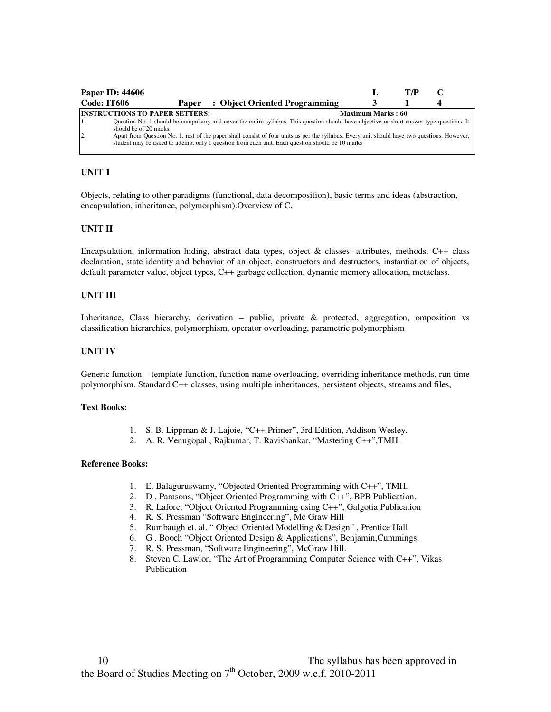|                | <b>Paper ID: 44606</b>                |                                                                                                                                                                                                                                                  |                   | T/P |  |
|----------------|---------------------------------------|--------------------------------------------------------------------------------------------------------------------------------------------------------------------------------------------------------------------------------------------------|-------------------|-----|--|
| Code: IT606    | Paper                                 | : Object Oriented Programming                                                                                                                                                                                                                    |                   |     |  |
|                | <b>INSTRUCTIONS TO PAPER SETTERS:</b> |                                                                                                                                                                                                                                                  | Maximum Marks: 60 |     |  |
|                | should be of 20 marks.                | Question No. 1 should be compulsory and cover the entire syllabus. This question should have objective or short answer type questions. It                                                                                                        |                   |     |  |
| $\overline{2}$ |                                       | Apart from Question No. 1, rest of the paper shall consist of four units as per the syllabus. Every unit should have two questions. However,<br>student may be asked to attempt only 1 question from each unit. Each question should be 10 marks |                   |     |  |

## **UNIT 1**

Objects, relating to other paradigms (functional, data decomposition), basic terms and ideas (abstraction, encapsulation, inheritance, polymorphism).Overview of C.

#### **UNIT II**

Encapsulation, information hiding, abstract data types, object  $\&$  classes: attributes, methods. C++ class declaration, state identity and behavior of an object, constructors and destructors, instantiation of objects, default parameter value, object types, C++ garbage collection, dynamic memory allocation, metaclass.

#### **UNIT III**

Inheritance, Class hierarchy, derivation – public, private  $\&$  protected, aggregation, omposition vs classification hierarchies, polymorphism, operator overloading, parametric polymorphism

#### **UNIT IV**

Generic function – template function, function name overloading, overriding inheritance methods, run time polymorphism. Standard C++ classes, using multiple inheritances, persistent objects, streams and files,

#### **Text Books:**

- 1. S. B. Lippman & J. Lajoie, "C++ Primer", 3rd Edition, Addison Wesley.
- 2. A. R. Venugopal , Rajkumar, T. Ravishankar, "Mastering C++",TMH.

- 1. E. Balaguruswamy, "Objected Oriented Programming with C++", TMH.
- 2. D . Parasons, "Object Oriented Programming with C++", BPB Publication.
- 3. R. Lafore, "Object Oriented Programming using C++", Galgotia Publication
- 4. R. S. Pressman "Software Engineering", Mc Graw Hill
- 5. Rumbaugh et. al. " Object Oriented Modelling & Design" , Prentice Hall
- 6. G . Booch "Object Oriented Design & Applications", Benjamin,Cummings.
- 7. R. S. Pressman, "Software Engineering", McGraw Hill.
- 8. Steven C. Lawlor, "The Art of Programming Computer Science with C++", Vikas Publication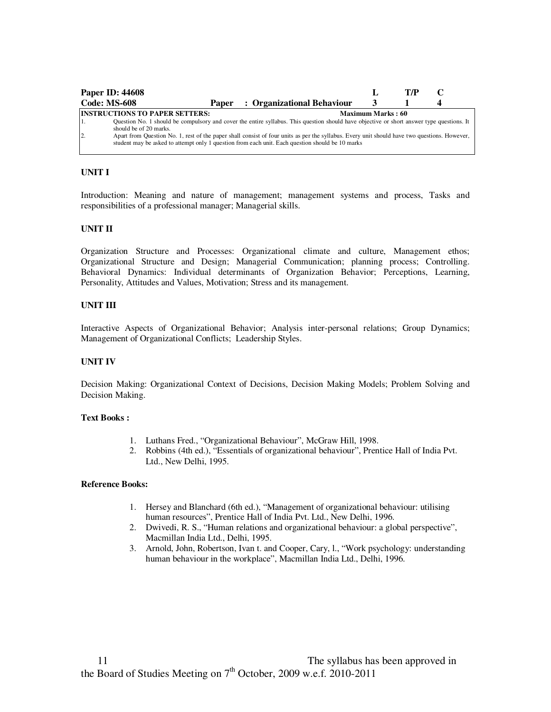|                     | <b>Paper ID: 44608</b>                                          |       |                                                                                                                                                                                                                                                  |                   | T/P |  |
|---------------------|-----------------------------------------------------------------|-------|--------------------------------------------------------------------------------------------------------------------------------------------------------------------------------------------------------------------------------------------------|-------------------|-----|--|
| <b>Code: MS-608</b> |                                                                 | Paper | : Organizational Behaviour                                                                                                                                                                                                                       |                   |     |  |
| 11.                 | <b>INSTRUCTIONS TO PAPER SETTERS:</b><br>should be of 20 marks. |       | Question No. 1 should be compulsory and cover the entire syllabus. This question should have objective or short answer type questions. It                                                                                                        | Maximum Marks: 60 |     |  |
| 2.                  |                                                                 |       | Apart from Question No. 1, rest of the paper shall consist of four units as per the syllabus. Every unit should have two questions. However,<br>student may be asked to attempt only 1 question from each unit. Each question should be 10 marks |                   |     |  |

Introduction: Meaning and nature of management; management systems and process, Tasks and responsibilities of a professional manager; Managerial skills.

#### **UNIT II**

Organization Structure and Processes: Organizational climate and culture, Management ethos; Organizational Structure and Design; Managerial Communication; planning process; Controlling. Behavioral Dynamics: Individual determinants of Organization Behavior; Perceptions, Learning, Personality, Attitudes and Values, Motivation; Stress and its management.

## **UNIT III**

Interactive Aspects of Organizational Behavior; Analysis inter-personal relations; Group Dynamics; Management of Organizational Conflicts; Leadership Styles.

#### **UNIT IV**

Decision Making: Organizational Context of Decisions, Decision Making Models; Problem Solving and Decision Making.

#### **Text Books :**

- 1. Luthans Fred., "Organizational Behaviour", McGraw Hill, 1998.
- 2. Robbins (4th ed.), "Essentials of organizational behaviour", Prentice Hall of India Pvt. Ltd., New Delhi, 1995.

- 1. Hersey and Blanchard (6th ed.), "Management of organizational behaviour: utilising human resources", Prentice Hall of India Pvt. Ltd., New Delhi, 1996.
- 2. Dwivedi, R. S., "Human relations and organizational behaviour: a global perspective", Macmillan India Ltd., Delhi, 1995.
- 3. Arnold, John, Robertson, Ivan t. and Cooper, Cary, l., "Work psychology: understanding human behaviour in the workplace", Macmillan India Ltd., Delhi, 1996.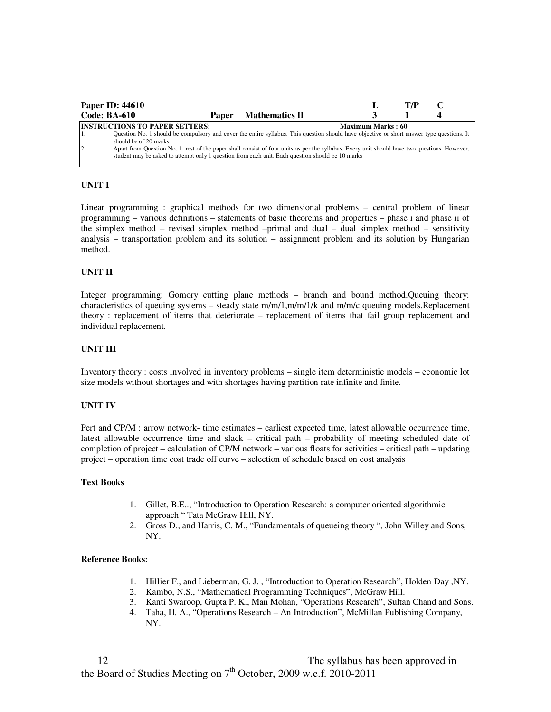|                | <b>Paper ID: 44610</b>                |       |                                                                                                                                                                                                                                                  |                          | T/P |  |
|----------------|---------------------------------------|-------|--------------------------------------------------------------------------------------------------------------------------------------------------------------------------------------------------------------------------------------------------|--------------------------|-----|--|
|                | <b>Code: BA-610</b>                   | Paper | <b>Mathematics II</b>                                                                                                                                                                                                                            |                          |     |  |
|                | <b>INSTRUCTIONS TO PAPER SETTERS:</b> |       |                                                                                                                                                                                                                                                  | <b>Maximum Marks: 60</b> |     |  |
| 1.             | should be of 20 marks.                |       | Question No. 1 should be compulsory and cover the entire syllabus. This question should have objective or short answer type questions. It                                                                                                        |                          |     |  |
| $\overline{2}$ |                                       |       | Apart from Question No. 1, rest of the paper shall consist of four units as per the syllabus. Every unit should have two questions. However,<br>student may be asked to attempt only 1 question from each unit. Each question should be 10 marks |                          |     |  |

Linear programming : graphical methods for two dimensional problems – central problem of linear programming – various definitions – statements of basic theorems and properties – phase i and phase ii of the simplex method – revised simplex method –primal and dual – dual simplex method – sensitivity analysis – transportation problem and its solution – assignment problem and its solution by Hungarian method.

## **UNIT II**

Integer programming: Gomory cutting plane methods – branch and bound method.Queuing theory: characteristics of queuing systems – steady state m/m/1,m/m/1/k and m/m/c queuing models.Replacement theory : replacement of items that deteriorate – replacement of items that fail group replacement and individual replacement.

#### **UNIT III**

Inventory theory : costs involved in inventory problems – single item deterministic models – economic lot size models without shortages and with shortages having partition rate infinite and finite.

#### **UNIT IV**

Pert and CP/M : arrow network- time estimates – earliest expected time, latest allowable occurrence time, latest allowable occurrence time and slack – critical path – probability of meeting scheduled date of completion of project – calculation of CP/M network – various floats for activities – critical path – updating project – operation time cost trade off curve – selection of schedule based on cost analysis

#### **Text Books**

- 1. Gillet, B.E.., "Introduction to Operation Research: a computer oriented algorithmic approach " Tata McGraw Hill, NY.
- 2. Gross D., and Harris, C. M., "Fundamentals of queueing theory ", John Willey and Sons, NY.

- 1. Hillier F., and Lieberman, G. J. , "Introduction to Operation Research", Holden Day ,NY.
- 2. Kambo, N.S., "Mathematical Programming Techniques", McGraw Hill.
- 3. Kanti Swaroop, Gupta P. K., Man Mohan, "Operations Research", Sultan Chand and Sons.
- 4. Taha, H. A., "Operations Research An Introduction", McMillan Publishing Company, NY.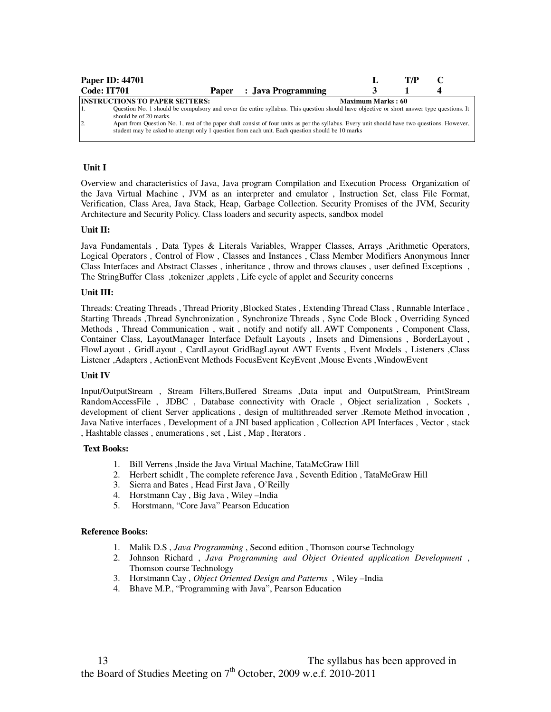| <b>Paper ID: 44701</b> |                                                                 |                                                                                                                                                                                                                                                                                                                                                                                               |                   | T/P |  |
|------------------------|-----------------------------------------------------------------|-----------------------------------------------------------------------------------------------------------------------------------------------------------------------------------------------------------------------------------------------------------------------------------------------------------------------------------------------------------------------------------------------|-------------------|-----|--|
| Code: IT701            |                                                                 | Paper : Java Programming                                                                                                                                                                                                                                                                                                                                                                      |                   |     |  |
| $\overline{2}$         | <b>INSTRUCTIONS TO PAPER SETTERS:</b><br>should be of 20 marks. | Question No. 1 should be compulsory and cover the entire syllabus. This question should have objective or short answer type questions. It<br>Apart from Question No. 1, rest of the paper shall consist of four units as per the syllabus. Every unit should have two questions. However,<br>student may be asked to attempt only 1 question from each unit. Each question should be 10 marks | Maximum Marks: 60 |     |  |

# **Unit I**

Overview and characteristics of Java, Java program Compilation and Execution Process Organization of the Java Virtual Machine , JVM as an interpreter and emulator , Instruction Set, class File Format, Verification, Class Area, Java Stack, Heap, Garbage Collection. Security Promises of the JVM, Security Architecture and Security Policy. Class loaders and security aspects, sandbox model

## **Unit II:**

Java Fundamentals , Data Types & Literals Variables, Wrapper Classes, Arrays ,Arithmetic Operators, Logical Operators , Control of Flow , Classes and Instances , Class Member Modifiers Anonymous Inner Class Interfaces and Abstract Classes , inheritance , throw and throws clauses , user defined Exceptions , The StringBuffer Class ,tokenizer ,applets , Life cycle of applet and Security concerns

## **Unit III:**

Threads: Creating Threads , Thread Priority ,Blocked States , Extending Thread Class , Runnable Interface , Starting Threads ,Thread Synchronization , Synchronize Threads , Sync Code Block , Overriding Synced Methods, Thread Communication, wait, notify and notify all. AWT Components, Component Class, Container Class, LayoutManager Interface Default Layouts , Insets and Dimensions , BorderLayout , FlowLayout , GridLayout , CardLayout GridBagLayout AWT Events , Event Models , Listeners ,Class Listener ,Adapters , ActionEvent Methods FocusEvent KeyEvent ,Mouse Events ,WindowEvent

## **Unit IV**

Input/OutputStream , Stream Filters,Buffered Streams ,Data input and OutputStream, PrintStream RandomAccessFile , JDBC, Database connectivity with Oracle, Object serialization, Sockets, development of client Server applications , design of multithreaded server .Remote Method invocation , Java Native interfaces , Development of a JNI based application , Collection API Interfaces , Vector , stack , Hashtable classes , enumerations , set , List , Map , Iterators .

#### **Text Books:**

- 1. Bill Verrens ,Inside the Java Virtual Machine, TataMcGraw Hill
- 2. Herbert schidlt , The complete reference Java , Seventh Edition , TataMcGraw Hill
- 3. Sierra and Bates , Head First Java , O'Reilly
- 4. Horstmann Cay , Big Java , Wiley –India
- 5. Horstmann, "Core Java" Pearson Education

- 1. Malik D.S , *Java Programming* , Second edition , Thomson course Technology
- 2. Johnson Richard , *Java Programming and Object Oriented application Development* , Thomson course Technology
- 3. Horstmann Cay , *Object Oriented Design and Patterns* , Wiley –India
- 4. Bhave M.P., "Programming with Java", Pearson Education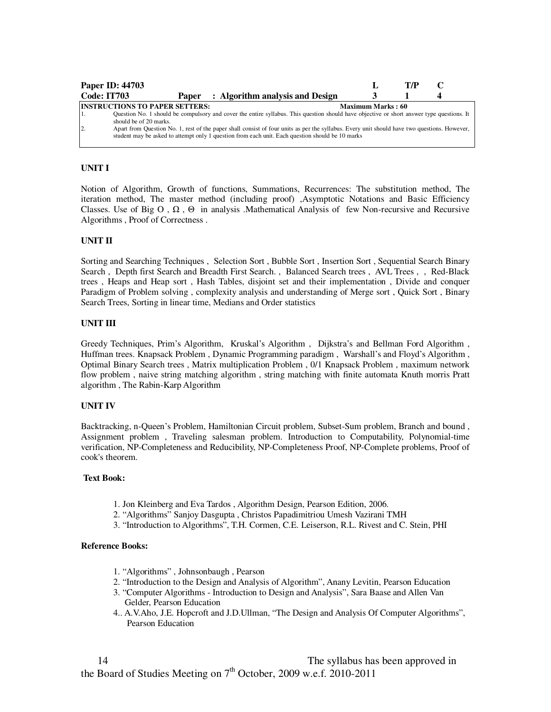| Paper ID: 44703                                                                     |                                                                                                                                                                                                                                                                                                                                                                                               |                   | T/P |  |
|-------------------------------------------------------------------------------------|-----------------------------------------------------------------------------------------------------------------------------------------------------------------------------------------------------------------------------------------------------------------------------------------------------------------------------------------------------------------------------------------------|-------------------|-----|--|
| <b>Code: IT703</b>                                                                  | Paper : Algorithm analysis and Design                                                                                                                                                                                                                                                                                                                                                         |                   |     |  |
| <b>INSTRUCTIONS TO PAPER SETTERS:</b><br>should be of 20 marks.<br>$\overline{2}$ . | Question No. 1 should be compulsory and cover the entire syllabus. This question should have objective or short answer type questions. It<br>Apart from Question No. 1, rest of the paper shall consist of four units as per the syllabus. Every unit should have two questions. However,<br>student may be asked to attempt only 1 question from each unit. Each question should be 10 marks | Maximum Marks: 60 |     |  |

Notion of Algorithm, Growth of functions, Summations, Recurrences: The substitution method, The iteration method, The master method (including proof) ,Asymptotic Notations and Basic Efficiency Classes. Use of Big O,  $\Omega$ ,  $\Theta$  in analysis .Mathematical Analysis of few Non-recursive and Recursive Algorithms , Proof of Correctness .

## **UNIT II**

Sorting and Searching Techniques , Selection Sort , Bubble Sort , Insertion Sort , Sequential Search Binary Search , Depth first Search and Breadth First Search. , Balanced Search trees , AVL Trees , , Red-Black trees , Heaps and Heap sort , Hash Tables, disjoint set and their implementation , Divide and conquer Paradigm of Problem solving , complexity analysis and understanding of Merge sort , Quick Sort , Binary Search Trees, Sorting in linear time, Medians and Order statistics

#### **UNIT III**

Greedy Techniques, Prim's Algorithm, Kruskal's Algorithm , Dijkstra's and Bellman Ford Algorithm , Huffman trees. Knapsack Problem , Dynamic Programming paradigm , Warshall's and Floyd's Algorithm , Optimal Binary Search trees , Matrix multiplication Problem , 0/1 Knapsack Problem , maximum network flow problem , naive string matching algorithm , string matching with finite automata Knuth morris Pratt algorithm , The Rabin-Karp Algorithm

#### **UNIT IV**

Backtracking, n-Queen's Problem, Hamiltonian Circuit problem, Subset-Sum problem, Branch and bound , Assignment problem , Traveling salesman problem. Introduction to Computability, Polynomial-time verification, NP-Completeness and Reducibility, NP-Completeness Proof, NP-Complete problems, Proof of cook's theorem.

#### **Text Book:**

- 1. Jon Kleinberg and Eva Tardos , Algorithm Design, Pearson Edition, 2006.
- 2. "Algorithms" Sanjoy Dasgupta , Christos Papadimitriou Umesh Vazirani TMH
- 3. "Introduction to Algorithms", T.H. Cormen, C.E. Leiserson, R.L. Rivest and C. Stein, PHI

- 1. "Algorithms" , Johnsonbaugh , Pearson
- 2. "Introduction to the Design and Analysis of Algorithm", Anany Levitin, Pearson Education
- 3. "Computer Algorithms Introduction to Design and Analysis", Sara Baase and Allen Van Gelder, Pearson Education
- 4.. A.V.Aho, J.E. Hopcroft and J.D.Ullman, "The Design and Analysis Of Computer Algorithms", Pearson Education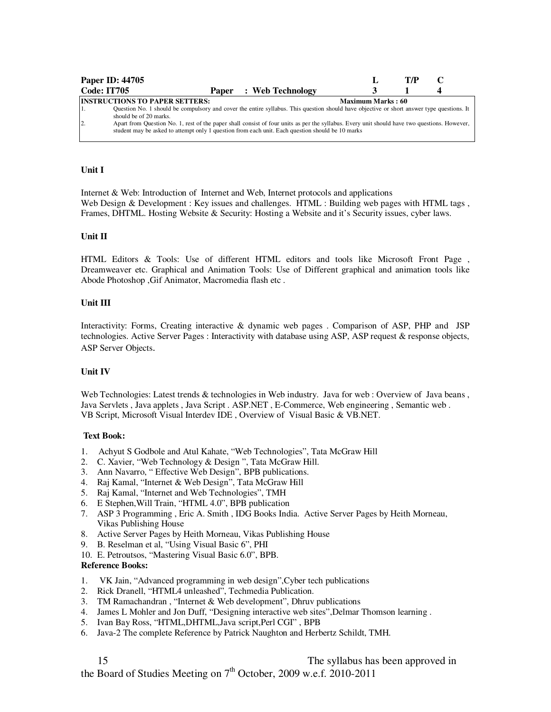|                    | Paper ID: 44705                                                                                                                                                                                                                                                                                                                                                                                                                                                  |  |                               |                   | T/P |  |
|--------------------|------------------------------------------------------------------------------------------------------------------------------------------------------------------------------------------------------------------------------------------------------------------------------------------------------------------------------------------------------------------------------------------------------------------------------------------------------------------|--|-------------------------------|-------------------|-----|--|
| <b>Code: IT705</b> |                                                                                                                                                                                                                                                                                                                                                                                                                                                                  |  | <b>Paper</b> : Web Technology |                   |     |  |
| $\overline{2}$ .   | <b>INSTRUCTIONS TO PAPER SETTERS:</b><br>Question No. 1 should be compulsory and cover the entire syllabus. This question should have objective or short answer type questions. It<br>should be of 20 marks.<br>Apart from Question No. 1, rest of the paper shall consist of four units as per the syllabus. Every unit should have two questions. However,<br>student may be asked to attempt only 1 question from each unit. Each question should be 10 marks |  |                               | Maximum Marks: 60 |     |  |

## **Unit I**

Internet & Web: Introduction of Internet and Web, Internet protocols and applications Web Design & Development : Key issues and challenges. HTML : Building web pages with HTML tags, Frames, DHTML. Hosting Website & Security: Hosting a Website and it's Security issues, cyber laws.

## **Unit II**

HTML Editors & Tools: Use of different HTML editors and tools like Microsoft Front Page , Dreamweaver etc. Graphical and Animation Tools: Use of Different graphical and animation tools like Abode Photoshop ,Gif Animator, Macromedia flash etc .

## **Unit III**

Interactivity: Forms, Creating interactive & dynamic web pages . Comparison of ASP, PHP and JSP technologies. Active Server Pages : Interactivity with database using ASP, ASP request & response objects, ASP Server Objects.

#### **Unit IV**

Web Technologies: Latest trends & technologies in Web industry. Java for web : Overview of Java beans, Java Servlets , Java applets , Java Script . ASP.NET , E-Commerce, Web engineering , Semantic web . VB Script, Microsoft Visual Interdev IDE , Overview of Visual Basic & VB.NET.

#### **Text Book:**

- 1. Achyut S Godbole and Atul Kahate, "Web Technologies", Tata McGraw Hill
- 2. C. Xavier, "Web Technology & Design ", Tata McGraw Hill.
- 3. Ann Navarro, " Effective Web Design", BPB publications.
- 4. Raj Kamal, "Internet & Web Design", Tata McGraw Hill
- 5. Raj Kamal, "Internet and Web Technologies", TMH
- 6. E Stephen,Will Train, "HTML 4.0", BPB publication
- 7. ASP 3 Programming , Eric A. Smith , IDG Books India. Active Server Pages by Heith Morneau, Vikas Publishing House
- 8. Active Server Pages by Heith Morneau, Vikas Publishing House
- 9. B. Reselman et al, "Using Visual Basic 6", PHI
- 10. E. Petroutsos, "Mastering Visual Basic 6.0", BPB.

#### **Reference Books:**

- 1. VK Jain, "Advanced programming in web design",Cyber tech publications
- 2. Rick Dranell, "HTML4 unleashed", Techmedia Publication.
- 3. TM Ramachandran , "Internet & Web development", Dhruv publications
- 4. James L Mohler and Jon Duff, "Designing interactive web sites",Delmar Thomson learning .
- 5. Ivan Bay Ross, "HTML,DHTML,Java script,Perl CGI" , BPB
- 6. Java-2 The complete Reference by Patrick Naughton and Herbertz Schildt, TMH.

15 15 The syllabus has been approved in the Board of Studies Meeting on  $7<sup>th</sup>$  October, 2009 w.e.f. 2010-2011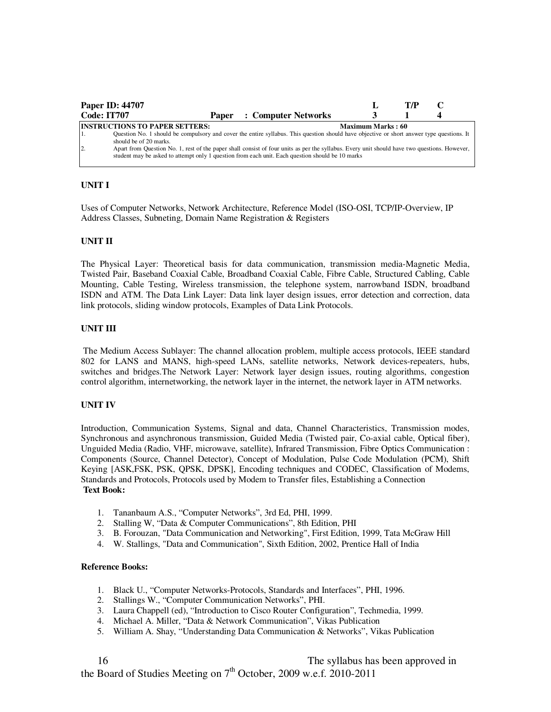|                    | <b>Paper ID: 44707</b>                                                                                                                       |       |                     |                          | T/P |  |
|--------------------|----------------------------------------------------------------------------------------------------------------------------------------------|-------|---------------------|--------------------------|-----|--|
| <b>Code: IT707</b> |                                                                                                                                              | Paper | : Computer Networks |                          |     |  |
|                    | <b>INSTRUCTIONS TO PAPER SETTERS:</b>                                                                                                        |       |                     | <b>Maximum Marks: 60</b> |     |  |
|                    | Question No. 1 should be compulsory and cover the entire syllabus. This question should have objective or short answer type questions. It    |       |                     |                          |     |  |
|                    | should be of 20 marks.                                                                                                                       |       |                     |                          |     |  |
| $\overline{2}$     | Apart from Question No. 1, rest of the paper shall consist of four units as per the syllabus. Every unit should have two questions. However, |       |                     |                          |     |  |
|                    | student may be asked to attempt only 1 question from each unit. Each question should be 10 marks                                             |       |                     |                          |     |  |
|                    |                                                                                                                                              |       |                     |                          |     |  |

Uses of Computer Networks, Network Architecture, Reference Model (ISO-OSI, TCP/IP-Overview, IP Address Classes, Subneting, Domain Name Registration & Registers

## **UNIT II**

The Physical Layer: Theoretical basis for data communication, transmission media-Magnetic Media, Twisted Pair, Baseband Coaxial Cable, Broadband Coaxial Cable, Fibre Cable, Structured Cabling, Cable Mounting, Cable Testing, Wireless transmission, the telephone system, narrowband ISDN, broadband ISDN and ATM. The Data Link Layer: Data link layer design issues, error detection and correction, data link protocols, sliding window protocols, Examples of Data Link Protocols.

## **UNIT III**

 The Medium Access Sublayer: The channel allocation problem, multiple access protocols, IEEE standard 802 for LANS and MANS, high-speed LANs, satellite networks, Network devices-repeaters, hubs, switches and bridges.The Network Layer: Network layer design issues, routing algorithms, congestion control algorithm, internetworking, the network layer in the internet, the network layer in ATM networks.

#### **UNIT IV**

Introduction, Communication Systems, Signal and data, Channel Characteristics, Transmission modes, Synchronous and asynchronous transmission, Guided Media (Twisted pair, Co-axial cable, Optical fiber), Unguided Media (Radio, VHF, microwave, satellite), Infrared Transmission, Fibre Optics Communication : Components (Source, Channel Detector), Concept of Modulation, Pulse Code Modulation (PCM), Shift Keying [ASK,FSK, PSK, QPSK, DPSK], Encoding techniques and CODEC, Classification of Modems, Standards and Protocols, Protocols used by Modem to Transfer files, Establishing a Connection **Text Book:** 

- 1. Tananbaum A.S., "Computer Networks", 3rd Ed, PHI, 1999.
- 2. Stalling W, "Data & Computer Communications", 8th Edition, PHI
- 3. B. Forouzan, "Data Communication and Networking", First Edition, 1999, Tata McGraw Hill
- 4. W. Stallings, "Data and Communication", Sixth Edition, 2002, Prentice Hall of India

- 1. Black U., "Computer Networks-Protocols, Standards and Interfaces", PHI, 1996.
- 2. Stallings W., "Computer Communication Networks", PHI.
- 3. Laura Chappell (ed), "Introduction to Cisco Router Configuration", Techmedia, 1999.
- 4. Michael A. Miller, "Data & Network Communication", Vikas Publication
- 5. William A. Shay, "Understanding Data Communication & Networks", Vikas Publication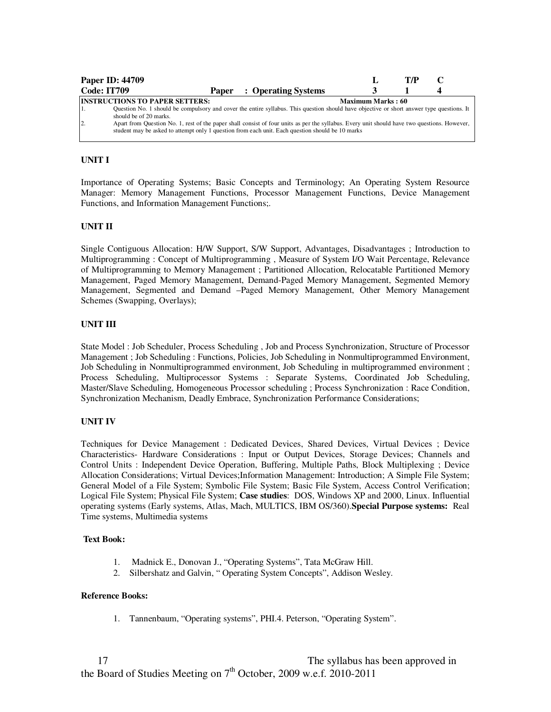|             | <b>Paper ID: 44709</b>                                          |       |                                                                                                                                                                                                                                                                                                                                                                                               |                          | T/P |  |
|-------------|-----------------------------------------------------------------|-------|-----------------------------------------------------------------------------------------------------------------------------------------------------------------------------------------------------------------------------------------------------------------------------------------------------------------------------------------------------------------------------------------------|--------------------------|-----|--|
| Code: IT709 |                                                                 | Paper | : Operating Systems                                                                                                                                                                                                                                                                                                                                                                           |                          |     |  |
| 2           | <b>INSTRUCTIONS TO PAPER SETTERS:</b><br>should be of 20 marks. |       | Question No. 1 should be compulsory and cover the entire syllabus. This question should have objective or short answer type questions. It<br>Apart from Question No. 1, rest of the paper shall consist of four units as per the syllabus. Every unit should have two questions. However,<br>student may be asked to attempt only 1 question from each unit. Each question should be 10 marks | <b>Maximum Marks: 60</b> |     |  |

Importance of Operating Systems; Basic Concepts and Terminology; An Operating System Resource Manager: Memory Management Functions, Processor Management Functions, Device Management Functions, and Information Management Functions;.

## **UNIT II**

Single Contiguous Allocation: H/W Support, S/W Support, Advantages, Disadvantages ; Introduction to Multiprogramming : Concept of Multiprogramming , Measure of System I/O Wait Percentage, Relevance of Multiprogramming to Memory Management ; Partitioned Allocation, Relocatable Partitioned Memory Management, Paged Memory Management, Demand-Paged Memory Management, Segmented Memory Management, Segmented and Demand –Paged Memory Management, Other Memory Management Schemes (Swapping, Overlays);

## **UNIT III**

State Model : Job Scheduler, Process Scheduling , Job and Process Synchronization, Structure of Processor Management ; Job Scheduling : Functions, Policies, Job Scheduling in Nonmultiprogrammed Environment, Job Scheduling in Nonmultiprogrammed environment, Job Scheduling in multiprogrammed environment ; Process Scheduling, Multiprocessor Systems : Separate Systems, Coordinated Job Scheduling, Master/Slave Scheduling, Homogeneous Processor scheduling ; Process Synchronization : Race Condition, Synchronization Mechanism, Deadly Embrace, Synchronization Performance Considerations;

## **UNIT IV**

Techniques for Device Management : Dedicated Devices, Shared Devices, Virtual Devices ; Device Characteristics- Hardware Considerations : Input or Output Devices, Storage Devices; Channels and Control Units : Independent Device Operation, Buffering, Multiple Paths, Block Multiplexing ; Device Allocation Considerations; Virtual Devices;Information Management: Introduction; A Simple File System; General Model of a File System; Symbolic File System; Basic File System, Access Control Verification; Logical File System; Physical File System; **Case studies**: DOS, Windows XP and 2000, Linux. Influential operating systems (Early systems, Atlas, Mach, MULTICS, IBM OS/360).**Special Purpose systems:** Real Time systems, Multimedia systems

#### **Text Book:**

- 1. Madnick E., Donovan J., "Operating Systems", Tata McGraw Hill.
- 2. Silbershatz and Galvin, " Operating System Concepts", Addison Wesley.

#### **Reference Books:**

1. Tannenbaum, "Operating systems", PHI.4. Peterson, "Operating System".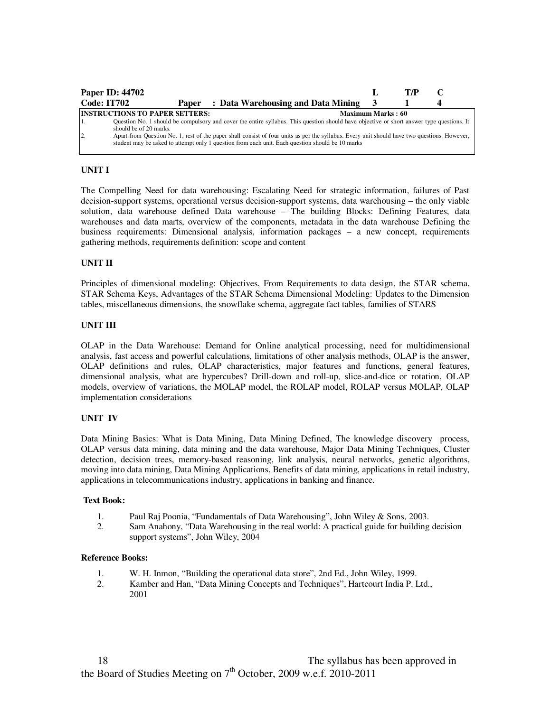|                    | <b>Paper ID: 44702</b>                                                                                                                                                                                                                           |                   | T/P |  |
|--------------------|--------------------------------------------------------------------------------------------------------------------------------------------------------------------------------------------------------------------------------------------------|-------------------|-----|--|
| <b>Code: IT702</b> | : Data Warehousing and Data Mining<br>Paper                                                                                                                                                                                                      |                   |     |  |
|                    | <b>INSTRUCTIONS TO PAPER SETTERS:</b>                                                                                                                                                                                                            | Maximum Marks: 60 |     |  |
|                    | Question No. 1 should be compulsory and cover the entire syllabus. This question should have objective or short answer type questions. It<br>should be of 20 marks.                                                                              |                   |     |  |
| $\overline{2}$     | Apart from Question No. 1, rest of the paper shall consist of four units as per the syllabus. Every unit should have two questions. However,<br>student may be asked to attempt only 1 question from each unit. Each question should be 10 marks |                   |     |  |

The Compelling Need for data warehousing: Escalating Need for strategic information, failures of Past decision-support systems, operational versus decision-support systems, data warehousing – the only viable solution, data warehouse defined Data warehouse – The building Blocks: Defining Features, data warehouses and data marts, overview of the components, metadata in the data warehouse Defining the business requirements: Dimensional analysis, information packages – a new concept, requirements gathering methods, requirements definition: scope and content

## **UNIT II**

Principles of dimensional modeling: Objectives, From Requirements to data design, the STAR schema, STAR Schema Keys, Advantages of the STAR Schema Dimensional Modeling: Updates to the Dimension tables, miscellaneous dimensions, the snowflake schema, aggregate fact tables, families of STARS

## **UNIT III**

OLAP in the Data Warehouse: Demand for Online analytical processing, need for multidimensional analysis, fast access and powerful calculations, limitations of other analysis methods, OLAP is the answer, OLAP definitions and rules, OLAP characteristics, major features and functions, general features, dimensional analysis, what are hypercubes? Drill-down and roll-up, slice-and-dice or rotation, OLAP models, overview of variations, the MOLAP model, the ROLAP model, ROLAP versus MOLAP, OLAP implementation considerations

#### **UNIT IV**

Data Mining Basics: What is Data Mining, Data Mining Defined, The knowledge discovery process, OLAP versus data mining, data mining and the data warehouse, Major Data Mining Techniques, Cluster detection, decision trees, memory-based reasoning, link analysis, neural networks, genetic algorithms, moving into data mining, Data Mining Applications, Benefits of data mining, applications in retail industry, applications in telecommunications industry, applications in banking and finance.

#### **Text Book:**

- 1. Paul Raj Poonia, "Fundamentals of Data Warehousing", John Wiley & Sons, 2003.
- 2. Sam Anahony, "Data Warehousing in the real world: A practical guide for building decision support systems", John Wiley, 2004

- 1. W. H. Inmon, "Building the operational data store", 2nd Ed., John Wiley, 1999.<br>2. Kamber and Han. "Data Mining Concepts and Techniques". Hartcourt India P. I
- 2. Kamber and Han, "Data Mining Concepts and Techniques", Hartcourt India P. Ltd., 2001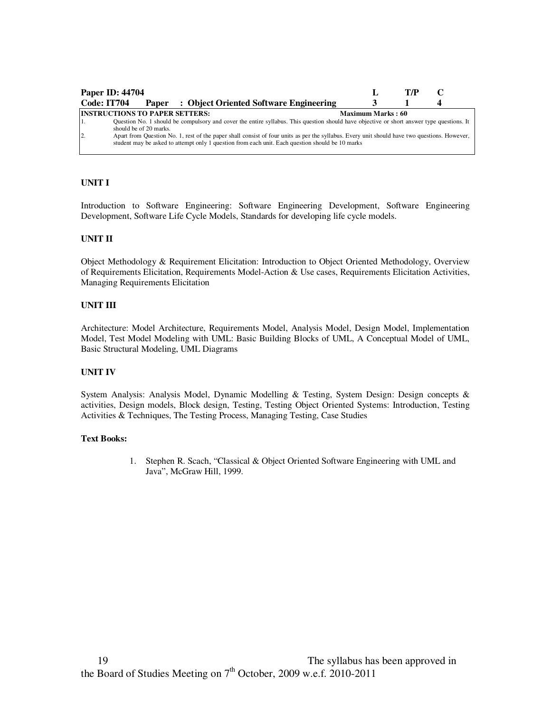|                                                                   | <b>Paper ID: 44704</b> |  |                                                                                                                                                                                                                                                  |  | T/P |  |  |  |  |
|-------------------------------------------------------------------|------------------------|--|--------------------------------------------------------------------------------------------------------------------------------------------------------------------------------------------------------------------------------------------------|--|-----|--|--|--|--|
| Code: IT704                                                       |                        |  | <b>Paper</b> : Object Oriented Software Engineering                                                                                                                                                                                              |  |     |  |  |  |  |
| <b>INSTRUCTIONS TO PAPER SETTERS:</b><br><b>Maximum Marks: 60</b> |                        |  |                                                                                                                                                                                                                                                  |  |     |  |  |  |  |
|                                                                   | should be of 20 marks. |  | Question No. 1 should be compulsory and cover the entire syllabus. This question should have objective or short answer type questions. It                                                                                                        |  |     |  |  |  |  |
| $\overline{2}$                                                    |                        |  | Apart from Question No. 1, rest of the paper shall consist of four units as per the syllabus. Every unit should have two questions. However,<br>student may be asked to attempt only 1 question from each unit. Each question should be 10 marks |  |     |  |  |  |  |

Introduction to Software Engineering: Software Engineering Development, Software Engineering Development, Software Life Cycle Models, Standards for developing life cycle models.

## **UNIT II**

Object Methodology & Requirement Elicitation: Introduction to Object Oriented Methodology, Overview of Requirements Elicitation, Requirements Model-Action & Use cases, Requirements Elicitation Activities, Managing Requirements Elicitation

## **UNIT III**

Architecture: Model Architecture, Requirements Model, Analysis Model, Design Model, Implementation Model, Test Model Modeling with UML: Basic Building Blocks of UML, A Conceptual Model of UML, Basic Structural Modeling, UML Diagrams

#### **UNIT IV**

System Analysis: Analysis Model, Dynamic Modelling & Testing, System Design: Design concepts & activities, Design models, Block design, Testing, Testing Object Oriented Systems: Introduction, Testing Activities & Techniques, The Testing Process, Managing Testing, Case Studies

#### **Text Books:**

1. Stephen R. Scach, "Classical & Object Oriented Software Engineering with UML and Java", McGraw Hill, 1999.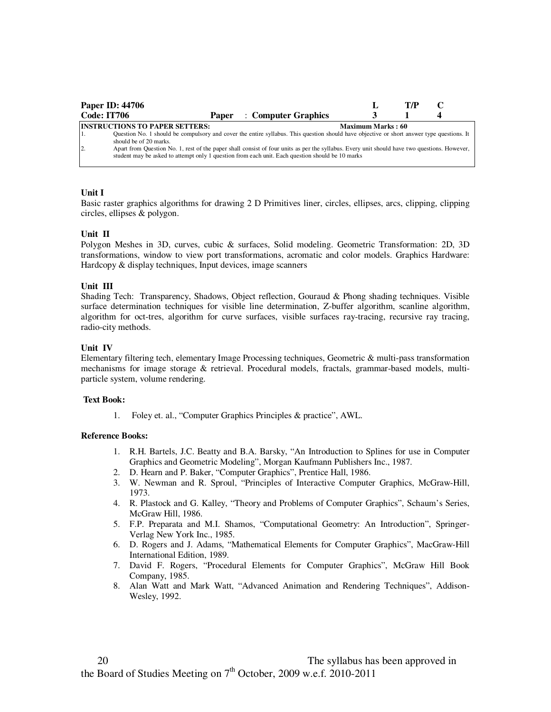|                | <b>Paper ID: 44706</b>                |       |                                                                                                                                                                                                                                                  |                          | T/P |  |
|----------------|---------------------------------------|-------|--------------------------------------------------------------------------------------------------------------------------------------------------------------------------------------------------------------------------------------------------|--------------------------|-----|--|
| Code: IT706    |                                       | Paper | : Computer Graphics                                                                                                                                                                                                                              |                          |     |  |
|                | <b>INSTRUCTIONS TO PAPER SETTERS:</b> |       |                                                                                                                                                                                                                                                  | <b>Maximum Marks: 60</b> |     |  |
|                | should be of 20 marks.                |       | Question No. 1 should be compulsory and cover the entire syllabus. This question should have objective or short answer type questions. It                                                                                                        |                          |     |  |
| $\overline{2}$ |                                       |       | Apart from Question No. 1, rest of the paper shall consist of four units as per the syllabus. Every unit should have two questions. However,<br>student may be asked to attempt only 1 question from each unit. Each question should be 10 marks |                          |     |  |

## **Unit I**

Basic raster graphics algorithms for drawing 2 D Primitives liner, circles, ellipses, arcs, clipping, clipping circles, ellipses & polygon.

#### **Unit II**

Polygon Meshes in 3D, curves, cubic & surfaces, Solid modeling. Geometric Transformation: 2D, 3D transformations, window to view port transformations, acromatic and color models. Graphics Hardware: Hardcopy & display techniques, Input devices, image scanners

#### **Unit III**

Shading Tech: Transparency, Shadows, Object reflection, Gouraud & Phong shading techniques. Visible surface determination techniques for visible line determination, Z-buffer algorithm, scanline algorithm, algorithm for oct-tres, algorithm for curve surfaces, visible surfaces ray-tracing, recursive ray tracing, radio-city methods.

#### **Unit IV**

Elementary filtering tech, elementary Image Processing techniques, Geometric & multi-pass transformation mechanisms for image storage & retrieval. Procedural models, fractals, grammar-based models, multiparticle system, volume rendering.

#### **Text Book:**

1. Foley et. al., "Computer Graphics Principles & practice", AWL.

- 1. R.H. Bartels, J.C. Beatty and B.A. Barsky, "An Introduction to Splines for use in Computer Graphics and Geometric Modeling", Morgan Kaufmann Publishers Inc., 1987.
- 2. D. Hearn and P. Baker, "Computer Graphics", Prentice Hall, 1986.
- 3. W. Newman and R. Sproul, "Principles of Interactive Computer Graphics, McGraw-Hill, 1973.
- 4. R. Plastock and G. Kalley, "Theory and Problems of Computer Graphics", Schaum's Series, McGraw Hill, 1986.
- 5. F.P. Preparata and M.I. Shamos, "Computational Geometry: An Introduction", Springer-Verlag New York Inc., 1985.
- 6. D. Rogers and J. Adams, "Mathematical Elements for Computer Graphics", MacGraw-Hill International Edition, 1989.
- 7. David F. Rogers, "Procedural Elements for Computer Graphics", McGraw Hill Book Company, 1985.
- 8. Alan Watt and Mark Watt, "Advanced Animation and Rendering Techniques", Addison-Wesley, 1992.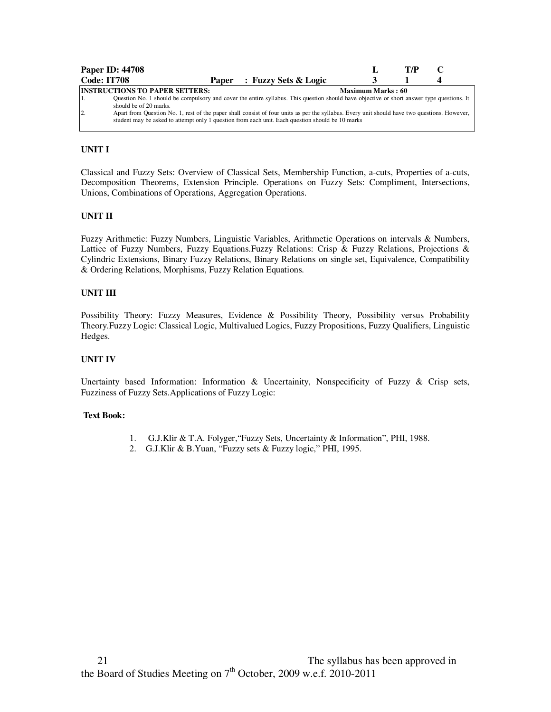| <b>Paper ID: 44708</b>                                                                           |                                                                                                                                              |  |                                                                                                                                           |                          | T/P |  |  |
|--------------------------------------------------------------------------------------------------|----------------------------------------------------------------------------------------------------------------------------------------------|--|-------------------------------------------------------------------------------------------------------------------------------------------|--------------------------|-----|--|--|
| Code: IT708                                                                                      |                                                                                                                                              |  | Paper : Fuzzy Sets & Logic                                                                                                                |                          |     |  |  |
| <b>INSTRUCTIONS TO PAPER SETTERS:</b>                                                            |                                                                                                                                              |  |                                                                                                                                           | <b>Maximum Marks: 60</b> |     |  |  |
|                                                                                                  |                                                                                                                                              |  | Question No. 1 should be compulsory and cover the entire syllabus. This question should have objective or short answer type questions. It |                          |     |  |  |
| should be of 20 marks.                                                                           |                                                                                                                                              |  |                                                                                                                                           |                          |     |  |  |
| $\overline{2}$                                                                                   | Apart from Question No. 1, rest of the paper shall consist of four units as per the syllabus. Every unit should have two questions. However, |  |                                                                                                                                           |                          |     |  |  |
| student may be asked to attempt only 1 question from each unit. Each question should be 10 marks |                                                                                                                                              |  |                                                                                                                                           |                          |     |  |  |
|                                                                                                  |                                                                                                                                              |  |                                                                                                                                           |                          |     |  |  |

Classical and Fuzzy Sets: Overview of Classical Sets, Membership Function, a-cuts, Properties of a-cuts, Decomposition Theorems, Extension Principle. Operations on Fuzzy Sets: Compliment, Intersections, Unions, Combinations of Operations, Aggregation Operations.

## **UNIT II**

Fuzzy Arithmetic: Fuzzy Numbers, Linguistic Variables, Arithmetic Operations on intervals & Numbers, Lattice of Fuzzy Numbers, Fuzzy Equations.Fuzzy Relations: Crisp & Fuzzy Relations, Projections & Cylindric Extensions, Binary Fuzzy Relations, Binary Relations on single set, Equivalence, Compatibility & Ordering Relations, Morphisms, Fuzzy Relation Equations.

# **UNIT III**

Possibility Theory: Fuzzy Measures, Evidence & Possibility Theory, Possibility versus Probability Theory.Fuzzy Logic: Classical Logic, Multivalued Logics, Fuzzy Propositions, Fuzzy Qualifiers, Linguistic Hedges.

#### **UNIT IV**

Unertainty based Information: Information & Uncertainity, Nonspecificity of Fuzzy  $\&$  Crisp sets, Fuzziness of Fuzzy Sets.Applications of Fuzzy Logic:

#### **Text Book:**

- 1. G.J.Klir & T.A. Folyger,"Fuzzy Sets, Uncertainty & Information", PHI, 1988.
- 2. G.J.Klir & B.Yuan, "Fuzzy sets & Fuzzy logic," PHI, 1995.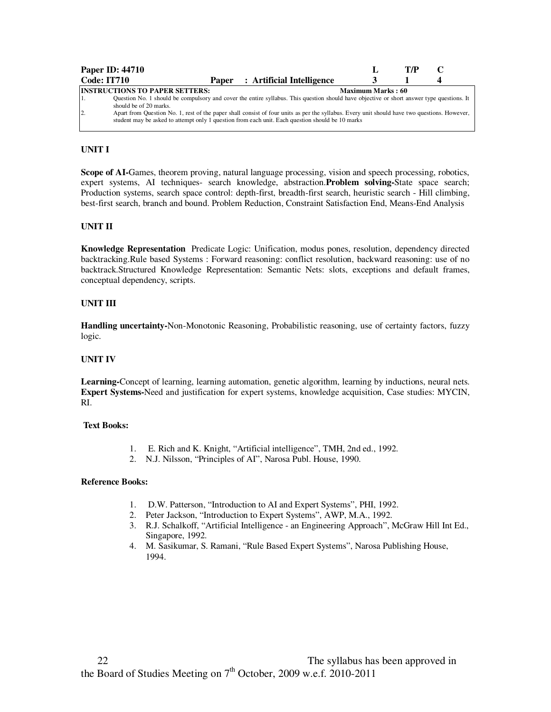|                    | <b>Paper ID: 44710</b>                |  |                                                                                                                                              |                   | T/P |  |
|--------------------|---------------------------------------|--|----------------------------------------------------------------------------------------------------------------------------------------------|-------------------|-----|--|
| <b>Code: IT710</b> |                                       |  | Paper : Artificial Intelligence                                                                                                              |                   |     |  |
|                    | <b>INSTRUCTIONS TO PAPER SETTERS:</b> |  |                                                                                                                                              | Maximum Marks: 60 |     |  |
|                    |                                       |  | Question No. 1 should be compulsory and cover the entire syllabus. This question should have objective or short answer type questions. It    |                   |     |  |
|                    | should be of 20 marks.                |  |                                                                                                                                              |                   |     |  |
| 2.                 |                                       |  | Apart from Question No. 1, rest of the paper shall consist of four units as per the syllabus. Every unit should have two questions. However, |                   |     |  |
|                    |                                       |  | student may be asked to attempt only 1 question from each unit. Each question should be 10 marks                                             |                   |     |  |
|                    |                                       |  |                                                                                                                                              |                   |     |  |

**Scope of AI-**Games, theorem proving, natural language processing, vision and speech processing, robotics, expert systems, AI techniques- search knowledge, abstraction.**Problem solving-**State space search; Production systems, search space control: depth-first, breadth-first search, heuristic search - Hill climbing, best-first search, branch and bound. Problem Reduction, Constraint Satisfaction End, Means-End Analysis

#### **UNIT II**

**Knowledge Representation** Predicate Logic: Unification, modus pones, resolution, dependency directed backtracking.Rule based Systems : Forward reasoning: conflict resolution, backward reasoning: use of no backtrack.Structured Knowledge Representation: Semantic Nets: slots, exceptions and default frames, conceptual dependency, scripts.

## **UNIT III**

**Handling uncertainty-**Non-Monotonic Reasoning, Probabilistic reasoning, use of certainty factors, fuzzy logic.

#### **UNIT IV**

**Learning-**Concept of learning, learning automation, genetic algorithm, learning by inductions, neural nets. **Expert Systems-**Need and justification for expert systems, knowledge acquisition, Case studies: MYCIN, RI.

## **Text Books:**

- 1. E. Rich and K. Knight, "Artificial intelligence", TMH, 2nd ed., 1992.
- 2. N.J. Nilsson, "Principles of AI", Narosa Publ. House, 1990.

- 1. D.W. Patterson, "Introduction to AI and Expert Systems", PHI, 1992.
- 2. Peter Jackson, "Introduction to Expert Systems", AWP, M.A., 1992.
- 3. R.J. Schalkoff, "Artificial Intelligence an Engineering Approach", McGraw Hill Int Ed., Singapore, 1992.
- 4. M. Sasikumar, S. Ramani, "Rule Based Expert Systems", Narosa Publishing House, 1994.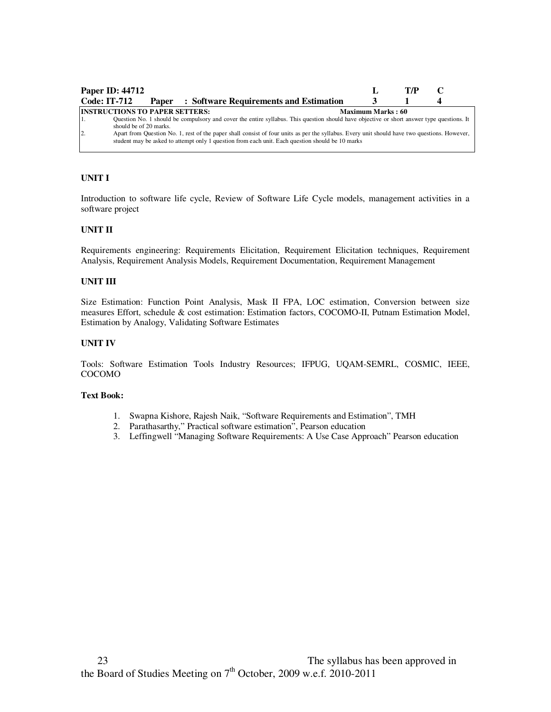| <b>Paper ID: 44712</b>                |                                                                                                                                                                                                                                                  |                          | T/P |  |
|---------------------------------------|--------------------------------------------------------------------------------------------------------------------------------------------------------------------------------------------------------------------------------------------------|--------------------------|-----|--|
| <b>Code: IT-712</b>                   | <b>Paper</b> : Software Requirements and Estimation                                                                                                                                                                                              |                          |     |  |
| <b>INSTRUCTIONS TO PAPER SETTERS:</b> |                                                                                                                                                                                                                                                  | <b>Maximum Marks: 60</b> |     |  |
| should be of 20 marks.                | Question No. 1 should be compulsory and cover the entire syllabus. This question should have objective or short answer type questions. It                                                                                                        |                          |     |  |
| $\overline{2}$                        | Apart from Question No. 1, rest of the paper shall consist of four units as per the syllabus. Every unit should have two questions. However,<br>student may be asked to attempt only 1 question from each unit. Each question should be 10 marks |                          |     |  |

Introduction to software life cycle, Review of Software Life Cycle models, management activities in a software project

## **UNIT II**

Requirements engineering: Requirements Elicitation, Requirement Elicitation techniques, Requirement Analysis, Requirement Analysis Models, Requirement Documentation, Requirement Management

# **UNIT III**

Size Estimation: Function Point Analysis, Mask II FPA, LOC estimation, Conversion between size measures Effort, schedule & cost estimation: Estimation factors, COCOMO-II, Putnam Estimation Model, Estimation by Analogy, Validating Software Estimates

#### **UNIT IV**

Tools: Software Estimation Tools Industry Resources; IFPUG, UQAM-SEMRL, COSMIC, IEEE, COCOMO

#### **Text Book:**

- 1. Swapna Kishore, Rajesh Naik, "Software Requirements and Estimation", TMH
- 2. Parathasarthy," Practical software estimation", Pearson education
- 3. Leffingwell "Managing Software Requirements: A Use Case Approach" Pearson education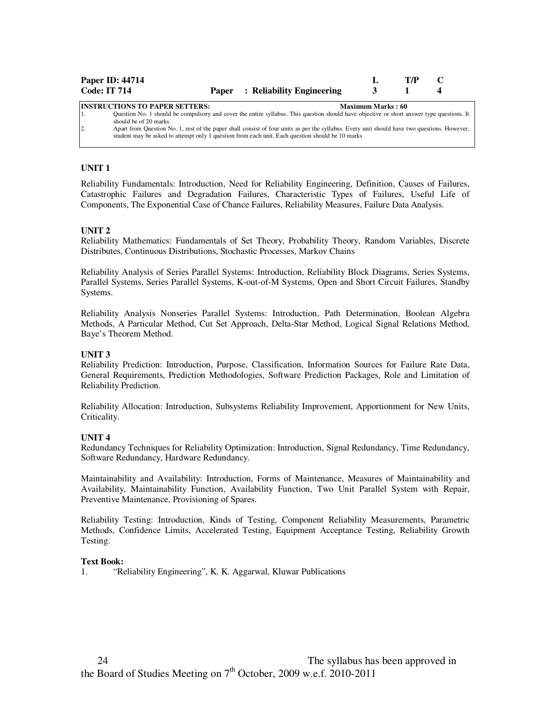| <b>Code: IT 714</b> | <b>Paper ID: 44714</b>                | <b>Paper</b> : Reliability Engineering                                                                                                                                                                                                           |                          | T/P |  |
|---------------------|---------------------------------------|--------------------------------------------------------------------------------------------------------------------------------------------------------------------------------------------------------------------------------------------------|--------------------------|-----|--|
| '1.                 | <b>INSTRUCTIONS TO PAPER SETTERS:</b> | Question No. 1 should be compulsory and cover the entire syllabus. This question should have objective or short answer type questions. It                                                                                                        | <b>Maximum Marks: 60</b> |     |  |
| $\overline{2}$      | should be of 20 marks.                | Apart from Question No. 1, rest of the paper shall consist of four units as per the syllabus. Every unit should have two questions. However,<br>student may be asked to attempt only 1 question from each unit. Each question should be 10 marks |                          |     |  |

## **UNIT 1**

Reliability Fundamentals: Introduction, Need for Reliability Engineering, Definition, Causes of Failures, Catastrophic Failures and Degradation Failures, Characteristic Types of Failures, Useful Life of Components, The Exponential Case of Chance Failures, Reliability Measures, Failure Data Analysis.

#### **UNIT 2**

Reliability Mathematics: Fundamentals of Set Theory, Probability Theory, Random Variables, Discrete Distributes, Continuous Distributions, Stochastic Processes, Markov Chains

Reliability Analysis of Series Parallel Systems: Introduction, Reliability Block Diagrams, Series Systems, Parallel Systems, Series Parallel Systems, K-out-of-M Systems, Open and Short Circuit Failures, Standby Systems.

Reliability Analysis Nonseries Parallel Systems: Introduction, Path Determination, Boolean Algebra Methods, A Particular Method, Cut Set Approach, Delta-Star Method, Logical Signal Relations Method, Baye's Theorem Method.

#### **UNIT 3**

Reliability Prediction: Introduction, Purpose, Classification, Information Sources for Failure Rate Data, General Requirements, Prediction Methodologies, Software Prediction Packages, Role and Limitation of Reliability Prediction.

Reliability Allocation: Introduction, Subsystems Reliability Improvement, Apportionment for New Units, Criticality.

#### **UNIT 4**

Redundancy Techniques for Reliability Optimization: Introduction, Signal Redundancy, Time Redundancy, Software Redundancy, Hardware Redundancy.

Maintainability and Availability: Introduction, Forms of Maintenance, Measures of Maintainability and Availability, Maintainability Function, Availability Function, Two Unit Parallel System with Repair, Preventive Maintenance, Provisioning of Spares.

Reliability Testing: Introduction, Kinds of Testing, Component Reliability Measurements, Parametric Methods, Confidence Limits, Accelerated Testing, Equipment Acceptance Testing, Reliability Growth Testing.

#### **Text Book:**

1. "Reliability Engineering", K. K. Aggarwal, Kluwar Publications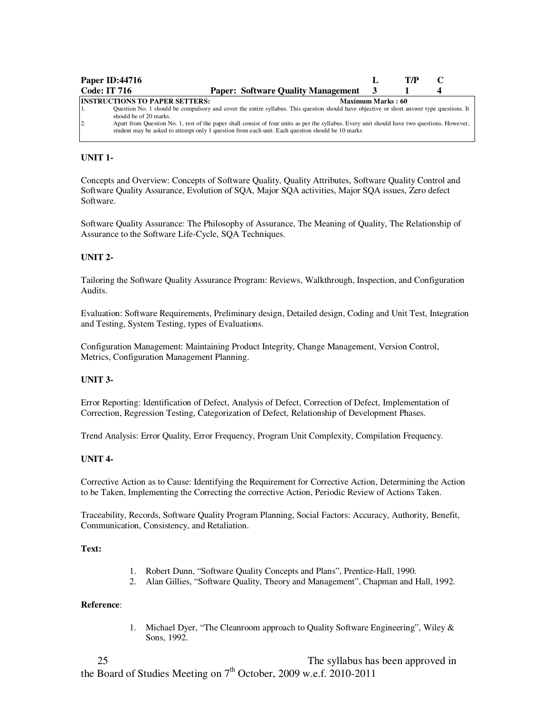|                     | <b>Paper ID:44716</b>                                                                                                                                                                                                                                                                                                                                        |                          | T/P |  |
|---------------------|--------------------------------------------------------------------------------------------------------------------------------------------------------------------------------------------------------------------------------------------------------------------------------------------------------------------------------------------------------------|--------------------------|-----|--|
| <b>Code: IT 716</b> | <b>Paper: Software Quality Management</b>                                                                                                                                                                                                                                                                                                                    |                          |     |  |
| $\overline{2}$      | <b>INSTRUCTIONS TO PAPER SETTERS:</b><br>Question No. 1 should be compulsory and cover the entire syllabus. This question should have objective or short answer type questions. It<br>should be of 20 marks.<br>Apart from Question No. 1, rest of the paper shall consist of four units as per the syllabus. Every unit should have two questions. However, | <b>Maximum Marks: 60</b> |     |  |
|                     | student may be asked to attempt only 1 question from each unit. Each question should be 10 marks                                                                                                                                                                                                                                                             |                          |     |  |

# **UNIT 1-**

Concepts and Overview: Concepts of Software Quality, Quality Attributes, Software Quality Control and Software Quality Assurance, Evolution of SQA, Major SQA activities, Major SQA issues, Zero defect Software.

Software Quality Assurance: The Philosophy of Assurance, The Meaning of Quality, The Relationship of Assurance to the Software Life-Cycle, SQA Techniques.

## **UNIT 2-**

Tailoring the Software Quality Assurance Program: Reviews, Walkthrough, Inspection, and Configuration Audits.

Evaluation: Software Requirements, Preliminary design, Detailed design, Coding and Unit Test, Integration and Testing, System Testing, types of Evaluations.

Configuration Management: Maintaining Product Integrity, Change Management, Version Control, Metrics, Configuration Management Planning.

## **UNIT 3-**

Error Reporting: Identification of Defect, Analysis of Defect, Correction of Defect, Implementation of Correction, Regression Testing, Categorization of Defect, Relationship of Development Phases.

Trend Analysis: Error Quality, Error Frequency, Program Unit Complexity, Compilation Frequency.

#### **UNIT 4-**

Corrective Action as to Cause: Identifying the Requirement for Corrective Action, Determining the Action to be Taken, Implementing the Correcting the corrective Action, Periodic Review of Actions Taken.

Traceability, Records, Software Quality Program Planning, Social Factors: Accuracy, Authority, Benefit, Communication, Consistency, and Retaliation.

## **Text:**

- 1. Robert Dunn, "Software Quality Concepts and Plans", Prentice-Hall, 1990.
- 2. Alan Gillies, "Software Quality, Theory and Management", Chapman and Hall, 1992.

#### **Reference**:

1. Michael Dyer, "The Cleanroom approach to Quality Software Engineering", Wiley & Sons, 1992.

25 25 The syllabus has been approved in the Board of Studies Meeting on  $7<sup>th</sup>$  October, 2009 w.e.f. 2010-2011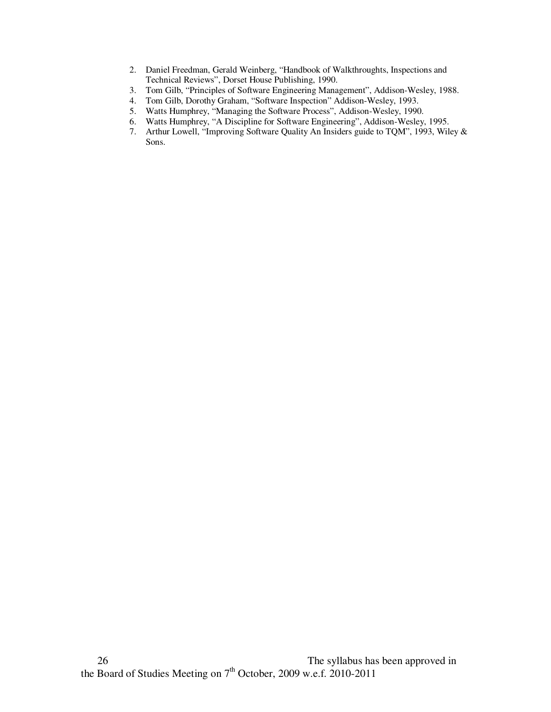- 2. Daniel Freedman, Gerald Weinberg, "Handbook of Walkthroughts, Inspections and Technical Reviews", Dorset House Publishing, 1990.
- 3. Tom Gilb, "Principles of Software Engineering Management", Addison-Wesley, 1988.
- 4. Tom Gilb, Dorothy Graham, "Software Inspection" Addison-Wesley, 1993.
- 5. Watts Humphrey, "Managing the Software Process", Addison-Wesley, 1990.
- 6. Watts Humphrey, "A Discipline for Software Engineering", Addison-Wesley, 1995.
- 7. Arthur Lowell, "Improving Software Quality An Insiders guide to TQM", 1993, Wiley & Sons.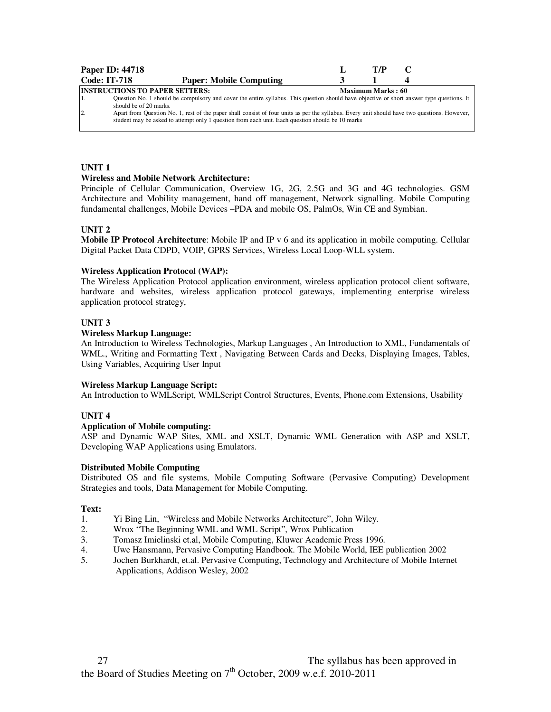|                                                            | <b>Paper ID: 44718</b>                                                                                                                       |  | T/P |  |  |  |  |
|------------------------------------------------------------|----------------------------------------------------------------------------------------------------------------------------------------------|--|-----|--|--|--|--|
| <b>Code: IT-718</b>                                        | <b>Paper: Mobile Computing</b>                                                                                                               |  |     |  |  |  |  |
| <b>INSTRUCTIONS TO PAPER SETTERS:</b><br>Maximum Marks: 60 |                                                                                                                                              |  |     |  |  |  |  |
|                                                            | Question No. 1 should be compulsory and cover the entire syllabus. This question should have objective or short answer type questions. It    |  |     |  |  |  |  |
|                                                            | should be of 20 marks.                                                                                                                       |  |     |  |  |  |  |
| $\overline{2}$                                             | Apart from Question No. 1, rest of the paper shall consist of four units as per the syllabus. Every unit should have two questions. However, |  |     |  |  |  |  |
|                                                            | student may be asked to attempt only 1 question from each unit. Each question should be 10 marks                                             |  |     |  |  |  |  |
|                                                            |                                                                                                                                              |  |     |  |  |  |  |

## **UNIT 1**

#### **Wireless and Mobile Network Architecture:**

Principle of Cellular Communication, Overview 1G, 2G, 2.5G and 3G and 4G technologies. GSM Architecture and Mobility management, hand off management, Network signalling. Mobile Computing fundamental challenges, Mobile Devices –PDA and mobile OS, PalmOs, Win CE and Symbian.

## **UNIT 2**

**Mobile IP Protocol Architecture**: Mobile IP and IP v 6 and its application in mobile computing. Cellular Digital Packet Data CDPD, VOIP, GPRS Services, Wireless Local Loop-WLL system.

## **Wireless Application Protocol (WAP):**

The Wireless Application Protocol application environment, wireless application protocol client software, hardware and websites, wireless application protocol gateways, implementing enterprise wireless application protocol strategy,

## **UNIT 3**

## **Wireless Markup Language:**

An Introduction to Wireless Technologies, Markup Languages , An Introduction to XML, Fundamentals of WML., Writing and Formatting Text , Navigating Between Cards and Decks, Displaying Images, Tables, Using Variables, Acquiring User Input

#### **Wireless Markup Language Script:**

An Introduction to WMLScript, WMLScript Control Structures, Events, Phone.com Extensions, Usability

## **UNIT 4**

# **Application of Mobile computing:**

ASP and Dynamic WAP Sites, XML and XSLT, Dynamic WML Generation with ASP and XSLT, Developing WAP Applications using Emulators.

## **Distributed Mobile Computing**

Distributed OS and file systems, Mobile Computing Software (Pervasive Computing) Development Strategies and tools, Data Management for Mobile Computing.

#### **Text:**

- 1. Yi Bing Lin, "Wireless and Mobile Networks Architecture", John Wiley.
- 2. Wrox "The Beginning WML and WML Script", Wrox Publication
- 3. Tomasz Imielinski et.al, Mobile Computing, Kluwer Academic Press 1996.
- 4. Uwe Hansmann, Pervasive Computing Handbook. The Mobile World, IEE publication 2002
- 5. Jochen Burkhardt, et.al. Pervasive Computing, Technology and Architecture of Mobile Internet Applications, Addison Wesley, 2002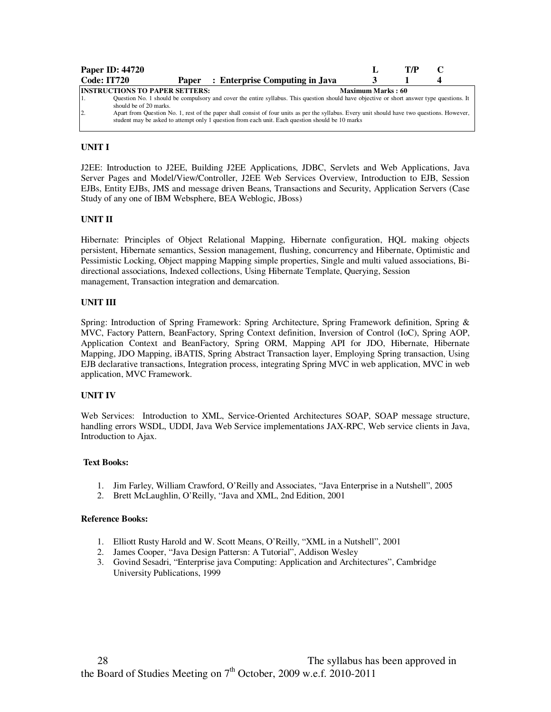|     | <b>Paper ID: 44720</b>                |                                                                                                                                                                                                                                                  |                          | T/P |  |
|-----|---------------------------------------|--------------------------------------------------------------------------------------------------------------------------------------------------------------------------------------------------------------------------------------------------|--------------------------|-----|--|
|     | <b>Code: IT720</b>                    | Paper : Enterprise Computing in Java                                                                                                                                                                                                             |                          |     |  |
|     | <b>INSTRUCTIONS TO PAPER SETTERS:</b> |                                                                                                                                                                                                                                                  | <b>Maximum Marks: 60</b> |     |  |
|     | should be of 20 marks.                | Question No. 1 should be compulsory and cover the entire syllabus. This question should have objective or short answer type questions. It                                                                                                        |                          |     |  |
| 12. |                                       | Apart from Question No. 1, rest of the paper shall consist of four units as per the syllabus. Every unit should have two questions. However,<br>student may be asked to attempt only 1 question from each unit. Each question should be 10 marks |                          |     |  |

J2EE: Introduction to J2EE, Building J2EE Applications, JDBC, Servlets and Web Applications, Java Server Pages and Model/View/Controller, J2EE Web Services Overview, Introduction to EJB, Session EJBs, Entity EJBs, JMS and message driven Beans, Transactions and Security, Application Servers (Case Study of any one of IBM Websphere, BEA Weblogic, JBoss)

## **UNIT II**

Hibernate: Principles of Object Relational Mapping, Hibernate configuration, HQL making objects persistent, Hibernate semantics, Session management, flushing, concurrency and Hibernate, Optimistic and Pessimistic Locking, Object mapping Mapping simple properties, Single and multi valued associations, Bidirectional associations, Indexed collections, Using Hibernate Template, Querying, Session management, Transaction integration and demarcation.

## **UNIT III**

Spring: Introduction of Spring Framework: Spring Architecture, Spring Framework definition, Spring & MVC, Factory Pattern, BeanFactory, Spring Context definition, Inversion of Control (IoC), Spring AOP, Application Context and BeanFactory, Spring ORM, Mapping API for JDO, Hibernate, Hibernate Mapping, JDO Mapping, iBATIS, Spring Abstract Transaction layer, Employing Spring transaction, Using EJB declarative transactions, Integration process, integrating Spring MVC in web application, MVC in web application, MVC Framework.

## **UNIT IV**

Web Services: Introduction to XML, Service-Oriented Architectures SOAP, SOAP message structure, handling errors WSDL, UDDI, Java Web Service implementations JAX-RPC, Web service clients in Java, Introduction to Ajax.

## **Text Books:**

- 1. Jim Farley, William Crawford, O'Reilly and Associates, "Java Enterprise in a Nutshell", 2005
- 2. Brett McLaughlin, O'Reilly, "Java and XML, 2nd Edition, 2001

- 1. Elliott Rusty Harold and W. Scott Means, O'Reilly, "XML in a Nutshell", 2001
- 2. James Cooper, "Java Design Pattersn: A Tutorial", Addison Wesley
- 3. Govind Sesadri, "Enterprise java Computing: Application and Architectures", Cambridge University Publications, 1999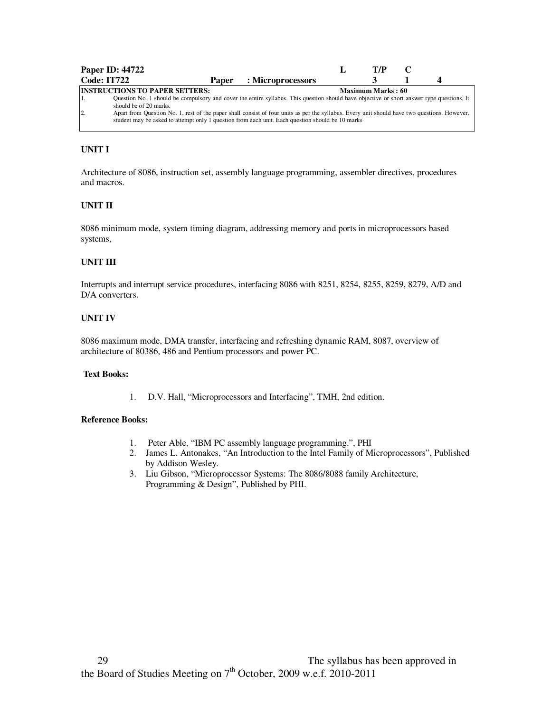|                | <b>Paper ID: 44722</b>                                          |       |                                                                                                                                                                                                                                                  | T/P                      |  |
|----------------|-----------------------------------------------------------------|-------|--------------------------------------------------------------------------------------------------------------------------------------------------------------------------------------------------------------------------------------------------|--------------------------|--|
|                | Code: IT722                                                     | Paper | : Microprocessors                                                                                                                                                                                                                                |                          |  |
|                | <b>INSTRUCTIONS TO PAPER SETTERS:</b><br>should be of 20 marks. |       | Question No. 1 should be compulsory and cover the entire syllabus. This question should have objective or short answer type questions. It                                                                                                        | <b>Maximum Marks: 60</b> |  |
| $\overline{2}$ |                                                                 |       | Apart from Question No. 1, rest of the paper shall consist of four units as per the syllabus. Every unit should have two questions. However,<br>student may be asked to attempt only 1 question from each unit. Each question should be 10 marks |                          |  |

Architecture of 8086, instruction set, assembly language programming, assembler directives, procedures and macros.

## **UNIT II**

8086 minimum mode, system timing diagram, addressing memory and ports in microprocessors based systems,

## **UNIT III**

Interrupts and interrupt service procedures, interfacing 8086 with 8251, 8254, 8255, 8259, 8279, A/D and D/A converters.

#### **UNIT IV**

8086 maximum mode, DMA transfer, interfacing and refreshing dynamic RAM, 8087, overview of architecture of 80386, 486 and Pentium processors and power PC.

#### **Text Books:**

1. D.V. Hall, "Microprocessors and Interfacing", TMH, 2nd edition.

- 1. Peter Able, "IBM PC assembly language programming.", PHI
- 2. James L. Antonakes, "An Introduction to the Intel Family of Microprocessors", Published by Addison Wesley.
- 3. Liu Gibson, "Microprocessor Systems: The 8086/8088 family Architecture, Programming & Design", Published by PHI.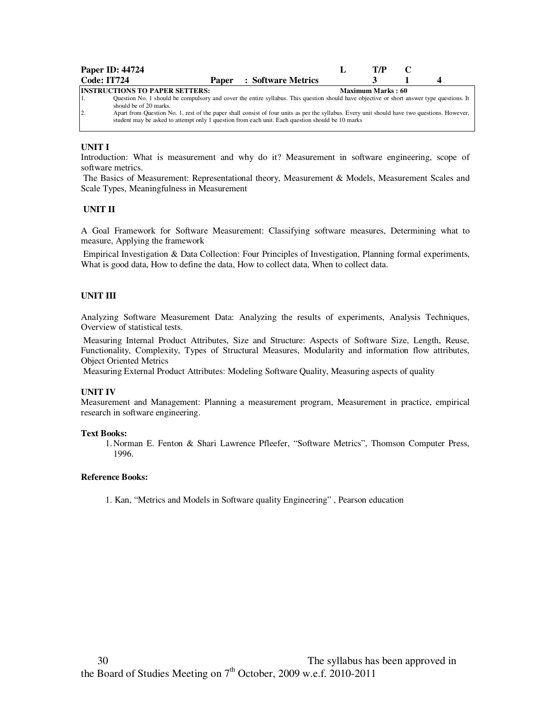|                | <b>Paper ID: 44724</b>                                                                                                                       |  |                                 | T/P               |  |
|----------------|----------------------------------------------------------------------------------------------------------------------------------------------|--|---------------------------------|-------------------|--|
| Code: IT724    |                                                                                                                                              |  | <b>Paper</b> : Software Metrics |                   |  |
|                | <b>INSTRUCTIONS TO PAPER SETTERS:</b>                                                                                                        |  |                                 | Maximum Marks: 60 |  |
|                | Question No. 1 should be compulsory and cover the entire syllabus. This question should have objective or short answer type questions. It    |  |                                 |                   |  |
|                | should be of 20 marks.                                                                                                                       |  |                                 |                   |  |
| $\overline{2}$ | Apart from Question No. 1, rest of the paper shall consist of four units as per the syllabus. Every unit should have two questions. However, |  |                                 |                   |  |
|                | student may be asked to attempt only 1 question from each unit. Each question should be 10 marks                                             |  |                                 |                   |  |
|                |                                                                                                                                              |  |                                 |                   |  |

Introduction: What is measurement and why do it? Measurement in software engineering, scope of software metrics.

 The Basics of Measurement: Representational theory, Measurement & Models, Measurement Scales and Scale Types, Meaningfulness in Measurement

#### **UNIT II**

A Goal Framework for Software Measurement: Classifying software measures, Determining what to measure, Applying the framework

 Empirical Investigation & Data Collection: Four Principles of Investigation, Planning formal experiments, What is good data, How to define the data, How to collect data, When to collect data.

#### **UNIT III**

Analyzing Software Measurement Data: Analyzing the results of experiments, Analysis Techniques, Overview of statistical tests.

 Measuring Internal Product Attributes, Size and Structure: Aspects of Software Size, Length, Reuse, Functionality, Complexity, Types of Structural Measures, Modularity and information flow attributes, Object Oriented Metrics

Measuring External Product Attributes: Modeling Software Quality, Measuring aspects of quality

#### **UNIT IV**

Measurement and Management: Planning a measurement program, Measurement in practice, empirical research in software engineering.

#### **Text Books:**

1. Norman E. Fenton & Shari Lawrence Pfleefer, "Software Metrics", Thomson Computer Press, 1996.

#### **Reference Books:**

1. Kan, "Metrics and Models in Software quality Engineering" , Pearson education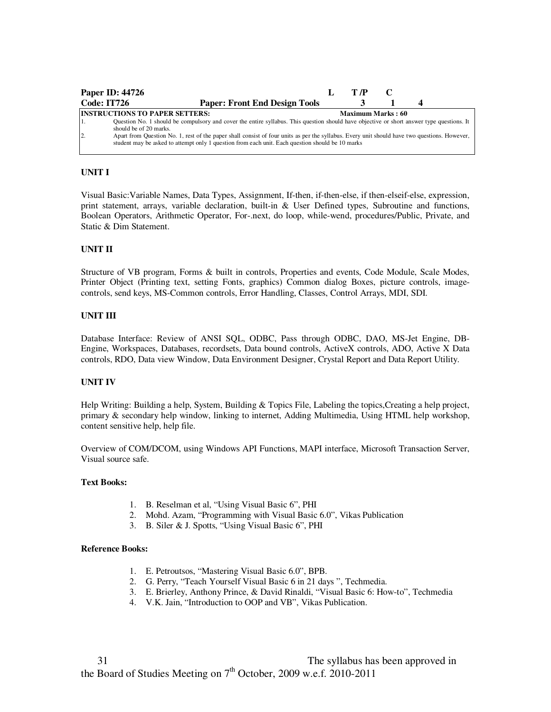|                | <b>Paper ID: 44726</b>                                                                                                                                                                                                                                                     | T /P                     |  |  |
|----------------|----------------------------------------------------------------------------------------------------------------------------------------------------------------------------------------------------------------------------------------------------------------------------|--------------------------|--|--|
| Code: IT726    | <b>Paper: Front End Design Tools</b>                                                                                                                                                                                                                                       |                          |  |  |
|                | <b>INSTRUCTIONS TO PAPER SETTERS:</b><br>Question No. 1 should be compulsory and cover the entire syllabus. This question should have objective or short answer type questions. It                                                                                         | <b>Maximum Marks: 60</b> |  |  |
| $\overline{2}$ | should be of 20 marks.<br>Apart from Question No. 1, rest of the paper shall consist of four units as per the syllabus. Every unit should have two questions. However,<br>student may be asked to attempt only 1 question from each unit. Each question should be 10 marks |                          |  |  |

Visual Basic:Variable Names, Data Types, Assignment, If-then, if-then-else, if then-elseif-else, expression, print statement, arrays, variable declaration, built-in & User Defined types, Subroutine and functions, Boolean Operators, Arithmetic Operator, For-.next, do loop, while-wend, procedures/Public, Private, and Static & Dim Statement.

## **UNIT II**

Structure of VB program, Forms & built in controls, Properties and events, Code Module, Scale Modes, Printer Object (Printing text, setting Fonts, graphics) Common dialog Boxes, picture controls, imagecontrols, send keys, MS-Common controls, Error Handling, Classes, Control Arrays, MDI, SDI.

#### **UNIT III**

Database Interface: Review of ANSI SQL, ODBC, Pass through ODBC, DAO, MS-Jet Engine, DB-Engine, Workspaces, Databases, recordsets, Data bound controls, ActiveX controls, ADO, Active X Data controls, RDO, Data view Window, Data Environment Designer, Crystal Report and Data Report Utility.

#### **UNIT IV**

Help Writing: Building a help, System, Building & Topics File, Labeling the topics,Creating a help project, primary & secondary help window, linking to internet, Adding Multimedia, Using HTML help workshop, content sensitive help, help file.

Overview of COM/DCOM, using Windows API Functions, MAPI interface, Microsoft Transaction Server, Visual source safe.

#### **Text Books:**

- 1. B. Reselman et al, "Using Visual Basic 6", PHI
- 2. Mohd. Azam, "Programming with Visual Basic 6.0", Vikas Publication
- 3. B. Siler & J. Spotts, "Using Visual Basic 6", PHI

- 1. E. Petroutsos, "Mastering Visual Basic 6.0", BPB.
- 2. G. Perry, "Teach Yourself Visual Basic 6 in 21 days ", Techmedia.
- 3. E. Brierley, Anthony Prince, & David Rinaldi, "Visual Basic 6: How-to", Techmedia
- 4. V.K. Jain, "Introduction to OOP and VB", Vikas Publication.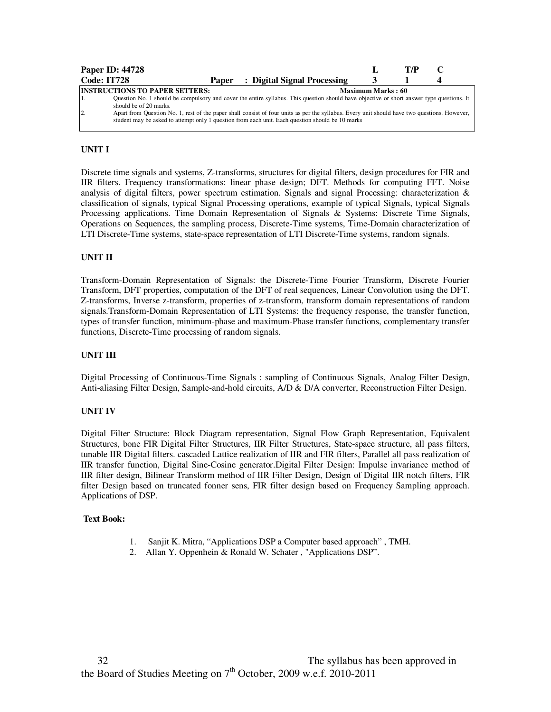| <b>Paper ID: 44728</b>                |       |                                                                                                                                                                                                                                                  |                          | T7P |  |
|---------------------------------------|-------|--------------------------------------------------------------------------------------------------------------------------------------------------------------------------------------------------------------------------------------------------|--------------------------|-----|--|
| Code: IT728                           | Paper | : Digital Signal Processing                                                                                                                                                                                                                      |                          |     |  |
| <b>INSTRUCTIONS TO PAPER SETTERS:</b> |       |                                                                                                                                                                                                                                                  | <b>Maximum Marks: 60</b> |     |  |
| should be of 20 marks.                |       | Question No. 1 should be compulsory and cover the entire syllabus. This question should have objective or short answer type questions. It                                                                                                        |                          |     |  |
| $\overline{2}$ .                      |       | Apart from Question No. 1, rest of the paper shall consist of four units as per the syllabus. Every unit should have two questions. However,<br>student may be asked to attempt only 1 question from each unit. Each question should be 10 marks |                          |     |  |

Discrete time signals and systems, Z-transforms, structures for digital filters, design procedures for FIR and IIR filters. Frequency transformations: linear phase design; DFT. Methods for computing FFT. Noise analysis of digital filters, power spectrum estimation. Signals and signal Processing: characterization & classification of signals, typical Signal Processing operations, example of typical Signals, typical Signals Processing applications. Time Domain Representation of Signals & Systems: Discrete Time Signals, Operations on Sequences, the sampling process, Discrete-Time systems, Time-Domain characterization of LTI Discrete-Time systems, state-space representation of LTI Discrete-Time systems, random signals.

## **UNIT II**

Transform-Domain Representation of Signals: the Discrete-Time Fourier Transform, Discrete Fourier Transform, DFT properties, computation of the DFT of real sequences, Linear Convolution using the DFT. Z-transforms, Inverse z-transform, properties of z-transform, transform domain representations of random signals.Transform-Domain Representation of LTI Systems: the frequency response, the transfer function, types of transfer function, minimum-phase and maximum-Phase transfer functions, complementary transfer functions, Discrete-Time processing of random signals.

#### **UNIT III**

Digital Processing of Continuous-Time Signals : sampling of Continuous Signals, Analog Filter Design, Anti-aliasing Filter Design, Sample-and-hold circuits, A/D & D/A converter, Reconstruction Filter Design.

#### **UNIT IV**

Digital Filter Structure: Block Diagram representation, Signal Flow Graph Representation, Equivalent Structures, bone FIR Digital Filter Structures, IIR Filter Structures, State-space structure, all pass filters, tunable IIR Digital filters. cascaded Lattice realization of IIR and FIR filters, Parallel all pass realization of IIR transfer function, Digital Sine-Cosine generator.Digital Filter Design: Impulse invariance method of IIR filter design, Bilinear Transform method of IIR Filter Design, Design of Digital IIR notch filters, FIR filter Design based on truncated fonner sens, FIR filter design based on Frequency Sampling approach. Applications of DSP.

#### **Text Book:**

- 1. Sanjit K. Mitra, "Applications DSP a Computer based approach" , TMH.
- 2. Allan Y. Oppenhein & Ronald W. Schater , "Applications DSP".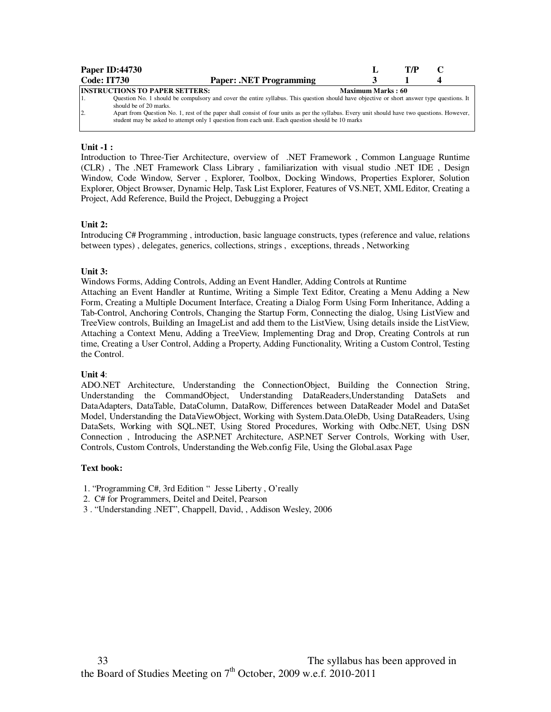|                    | <b>Paper ID:44730</b>                                                                                                                        |                          | T/P |  |
|--------------------|----------------------------------------------------------------------------------------------------------------------------------------------|--------------------------|-----|--|
| <b>Code: IT730</b> | <b>Paper: .NET Programming</b>                                                                                                               |                          |     |  |
|                    | <b>INSTRUCTIONS TO PAPER SETTERS:</b>                                                                                                        | <b>Maximum Marks: 60</b> |     |  |
|                    | Question No. 1 should be compulsory and cover the entire syllabus. This question should have objective or short answer type questions. It    |                          |     |  |
|                    | should be of 20 marks.                                                                                                                       |                          |     |  |
| 12.                | Apart from Question No. 1, rest of the paper shall consist of four units as per the syllabus. Every unit should have two questions. However, |                          |     |  |
|                    | student may be asked to attempt only 1 question from each unit. Each question should be 10 marks                                             |                          |     |  |

## **Unit -1 :**

Introduction to Three-Tier Architecture, overview of .NET Framework , Common Language Runtime (CLR) , The .NET Framework Class Library , familiarization with visual studio .NET IDE , Design Window, Code Window, Server , Explorer, Toolbox, Docking Windows, Properties Explorer, Solution Explorer, Object Browser, Dynamic Help, Task List Explorer, Features of VS.NET, XML Editor, Creating a Project, Add Reference, Build the Project, Debugging a Project

## **Unit 2:**

Introducing C# Programming , introduction, basic language constructs, types (reference and value, relations between types) , delegates, generics, collections, strings , exceptions, threads , Networking

## **Unit 3:**

Windows Forms, Adding Controls, Adding an Event Handler, Adding Controls at Runtime

Attaching an Event Handler at Runtime, Writing a Simple Text Editor, Creating a Menu Adding a New Form, Creating a Multiple Document Interface, Creating a Dialog Form Using Form Inheritance, Adding a Tab-Control, Anchoring Controls, Changing the Startup Form, Connecting the dialog, Using ListView and TreeView controls, Building an ImageList and add them to the ListView, Using details inside the ListView, Attaching a Context Menu, Adding a TreeView, Implementing Drag and Drop, Creating Controls at run time, Creating a User Control, Adding a Property, Adding Functionality, Writing a Custom Control, Testing the Control.

#### **Unit 4**:

ADO.NET Architecture, Understanding the ConnectionObject, Building the Connection String, Understanding the CommandObject, Understanding DataReaders,Understanding DataSets and DataAdapters, DataTable, DataColumn, DataRow, Differences between DataReader Model and DataSet Model, Understanding the DataViewObject, Working with System.Data.OleDb, Using DataReaders, Using DataSets, Working with SQL.NET, Using Stored Procedures, Working with Odbc.NET, Using DSN Connection , Introducing the ASP.NET Architecture, ASP.NET Server Controls, Working with User, Controls, Custom Controls, Understanding the Web.config File, Using the Global.asax Page

#### **Text book:**

- 1. "Programming C#, 3rd Edition " Jesse Liberty , O'really
- 2. C# for Programmers, Deitel and Deitel, Pearson
- 3 . "Understanding .NET", Chappell, David, , Addison Wesley, 2006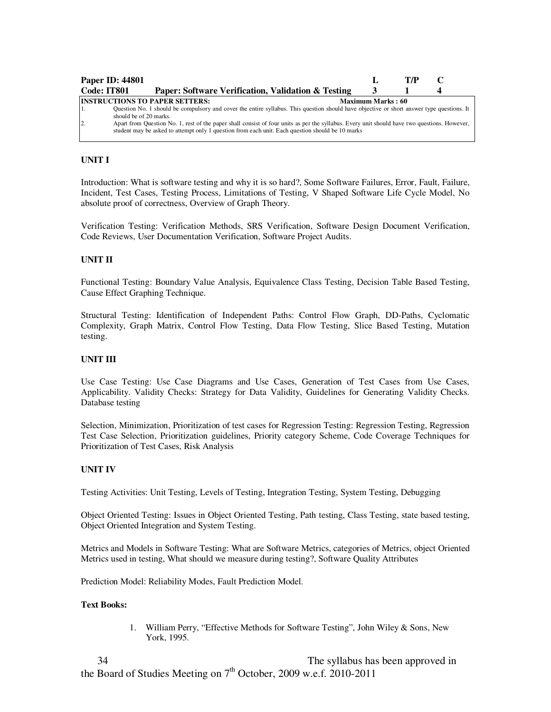| <b>Paper ID: 44801</b>                                                                                                                                                                                                                                                                                                                                                                                                                                                             |                          | T/P |  |
|------------------------------------------------------------------------------------------------------------------------------------------------------------------------------------------------------------------------------------------------------------------------------------------------------------------------------------------------------------------------------------------------------------------------------------------------------------------------------------|--------------------------|-----|--|
| Code: IT801<br>Paper: Software Verification, Validation & Testing                                                                                                                                                                                                                                                                                                                                                                                                                  |                          |     |  |
| <b>INSTRUCTIONS TO PAPER SETTERS:</b><br>Question No. 1 should be compulsory and cover the entire syllabus. This question should have objective or short answer type questions. It<br>should be of 20 marks.<br>$\overline{2}$<br>Apart from Question No. 1, rest of the paper shall consist of four units as per the syllabus. Every unit should have two questions. However,<br>student may be asked to attempt only 1 question from each unit. Each question should be 10 marks | <b>Maximum Marks: 60</b> |     |  |

Introduction: What is software testing and why it is so hard?, Some Software Failures, Error, Fault, Failure, Incident, Test Cases, Testing Process, Limitations of Testing, V Shaped Software Life Cycle Model, No absolute proof of correctness, Overview of Graph Theory.

Verification Testing: Verification Methods, SRS Verification, Software Design Document Verification, Code Reviews, User Documentation Verification, Software Project Audits.

## **UNIT II**

Functional Testing: Boundary Value Analysis, Equivalence Class Testing, Decision Table Based Testing, Cause Effect Graphing Technique.

Structural Testing: Identification of Independent Paths: Control Flow Graph, DD-Paths, Cyclomatic Complexity, Graph Matrix, Control Flow Testing, Data Flow Testing, Slice Based Testing, Mutation testing.

## **UNIT III**

Use Case Testing: Use Case Diagrams and Use Cases, Generation of Test Cases from Use Cases, Applicability. Validity Checks: Strategy for Data Validity, Guidelines for Generating Validity Checks. Database testing

Selection, Minimization, Prioritization of test cases for Regression Testing: Regression Testing, Regression Test Case Selection, Prioritization guidelines, Priority category Scheme, Code Coverage Techniques for Prioritization of Test Cases, Risk Analysis

## **UNIT IV**

Testing Activities: Unit Testing, Levels of Testing, Integration Testing, System Testing, Debugging

Object Oriented Testing: Issues in Object Oriented Testing, Path testing, Class Testing, state based testing, Object Oriented Integration and System Testing.

Metrics and Models in Software Testing: What are Software Metrics, categories of Metrics, object Oriented Metrics used in testing, What should we measure during testing?, Software Quality Attributes

Prediction Model: Reliability Modes, Fault Prediction Model.

## **Text Books:**

1. William Perry, "Effective Methods for Software Testing", John Wiley & Sons, New York, 1995.

 34 The syllabus has been approved in the Board of Studies Meeting on  $7<sup>th</sup>$  October, 2009 w.e.f. 2010-2011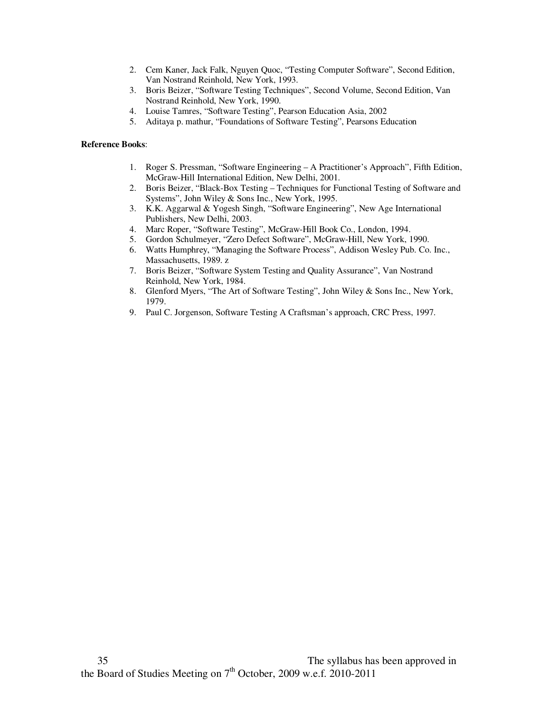- 2. Cem Kaner, Jack Falk, Nguyen Quoc, "Testing Computer Software", Second Edition, Van Nostrand Reinhold, New York, 1993.
- 3. Boris Beizer, "Software Testing Techniques", Second Volume, Second Edition, Van Nostrand Reinhold, New York, 1990.
- 4. Louise Tamres, "Software Testing", Pearson Education Asia, 2002
- 5. Aditaya p. mathur, "Foundations of Software Testing", Pearsons Education

- 1. Roger S. Pressman, "Software Engineering A Practitioner's Approach", Fifth Edition, McGraw-Hill International Edition, New Delhi, 2001.
- 2. Boris Beizer, "Black-Box Testing Techniques for Functional Testing of Software and Systems", John Wiley & Sons Inc., New York, 1995.
- 3. K.K. Aggarwal & Yogesh Singh, "Software Engineering", New Age International Publishers, New Delhi, 2003.
- 4. Marc Roper, "Software Testing", McGraw-Hill Book Co., London, 1994.
- 5. Gordon Schulmeyer, "Zero Defect Software", McGraw-Hill, New York, 1990.
- 6. Watts Humphrey, "Managing the Software Process", Addison Wesley Pub. Co. Inc., Massachusetts, 1989. z
- 7. Boris Beizer, "Software System Testing and Quality Assurance", Van Nostrand Reinhold, New York, 1984.
- 8. Glenford Myers, "The Art of Software Testing", John Wiley & Sons Inc., New York, 1979.
- 9. Paul C. Jorgenson, Software Testing A Craftsman's approach, CRC Press, 1997.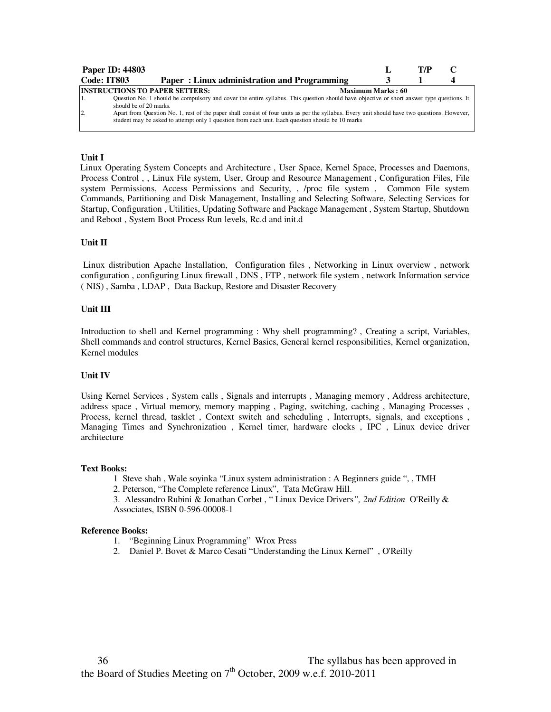| <b>Paper ID: 44803</b>                                                            |                                                                                                                                                                                                                                                                                                                                                                                               |                          | T/P |  |
|-----------------------------------------------------------------------------------|-----------------------------------------------------------------------------------------------------------------------------------------------------------------------------------------------------------------------------------------------------------------------------------------------------------------------------------------------------------------------------------------------|--------------------------|-----|--|
| Code: IT803                                                                       | Paper: Linux administration and Programming                                                                                                                                                                                                                                                                                                                                                   |                          |     |  |
| <b>INSTRUCTIONS TO PAPER SETTERS:</b><br>should be of 20 marks.<br>$\overline{2}$ | Question No. 1 should be compulsory and cover the entire syllabus. This question should have objective or short answer type questions. It<br>Apart from Question No. 1, rest of the paper shall consist of four units as per the syllabus. Every unit should have two questions. However,<br>student may be asked to attempt only 1 question from each unit. Each question should be 10 marks | <b>Maximum Marks: 60</b> |     |  |

## **Unit I**

 Linux Operating System Concepts and Architecture , User Space, Kernel Space, Processes and Daemons, Process Control , , Linux File system, User, Group and Resource Management , Configuration Files, File system Permissions, Access Permissions and Security, , /proc file system , Common File system Commands, Partitioning and Disk Management, Installing and Selecting Software, Selecting Services for Startup, Configuration , Utilities, Updating Software and Package Management , System Startup, Shutdown and Reboot , System Boot Process Run levels, Rc.d and init.d

#### **Unit II**

 Linux distribution Apache Installation, Configuration files , Networking in Linux overview , network configuration , configuring Linux firewall , DNS , FTP , network file system , network Information service ( NIS) , Samba , LDAP , Data Backup, Restore and Disaster Recovery

## **Unit III**

Introduction to shell and Kernel programming : Why shell programming? , Creating a script, Variables, Shell commands and control structures, Kernel Basics, General kernel responsibilities, Kernel organization, Kernel modules

#### **Unit IV**

Using Kernel Services , System calls , Signals and interrupts , Managing memory , Address architecture, address space , Virtual memory, memory mapping , Paging, switching, caching , Managing Processes , Process, kernel thread, tasklet , Context switch and scheduling , Interrupts, signals, and exceptions , Managing Times and Synchronization , Kernel timer, hardware clocks , IPC , Linux device driver architecture

#### **Text Books:**

- 1 Steve shah , Wale soyinka "Linux system administration : A Beginners guide ", , TMH
- 2. Peterson, "The Complete reference Linux", Tata McGraw Hill.

3. Alessandro Rubini & Jonathan Corbet , " Linux Device Drivers*", 2nd Edition* O'Reilly & Associates, ISBN 0-596-00008-1

- 1. "Beginning Linux Programming" Wrox Press
- 2. Daniel P. Bovet & Marco Cesati "Understanding the Linux Kernel" , O'Reilly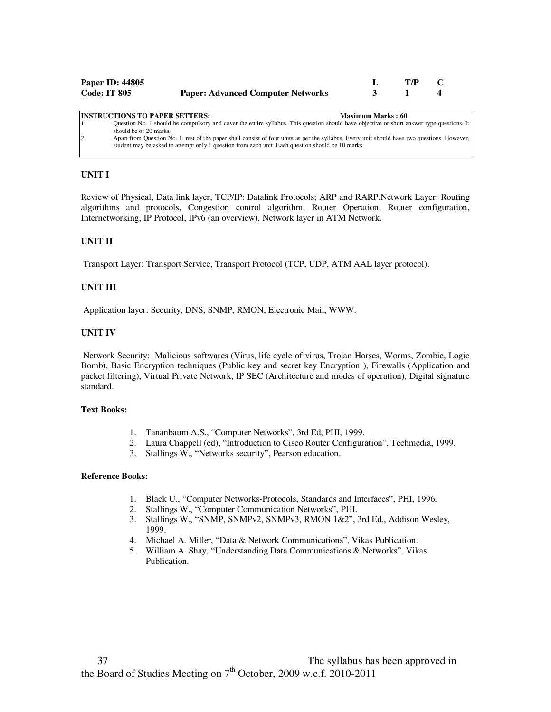| Paper ID: 44805     |                                          | T/P |  |
|---------------------|------------------------------------------|-----|--|
| <b>Code: IT 805</b> | <b>Paper: Advanced Computer Networks</b> |     |  |

| <b>INSTRUCTIONS TO PAPER SETTERS:</b>                                                            | <b>Maximum Marks: 60</b>                                                                                                                     |
|--------------------------------------------------------------------------------------------------|----------------------------------------------------------------------------------------------------------------------------------------------|
| 11.                                                                                              | Question No. 1 should be compulsory and cover the entire syllabus. This question should have objective or short answer type questions. It    |
| should be of 20 marks.                                                                           |                                                                                                                                              |
| 12.                                                                                              | Apart from Question No. 1, rest of the paper shall consist of four units as per the syllabus. Every unit should have two questions. However, |
| student may be asked to attempt only 1 question from each unit. Each question should be 10 marks |                                                                                                                                              |
|                                                                                                  |                                                                                                                                              |

Review of Physical, Data link layer, TCP/IP: Datalink Protocols; ARP and RARP.Network Layer: Routing algorithms and protocols, Congestion control algorithm, Router Operation, Router configuration, Internetworking, IP Protocol, IPv6 (an overview), Network layer in ATM Network.

## **UNIT II**

Transport Layer: Transport Service, Transport Protocol (TCP, UDP, ATM AAL layer protocol).

## **UNIT III**

Application layer: Security, DNS, SNMP, RMON, Electronic Mail, WWW.

## **UNIT IV**

 Network Security: Malicious softwares (Virus, life cycle of virus, Trojan Horses, Worms, Zombie, Logic Bomb), Basic Encryption techniques (Public key and secret key Encryption ), Firewalls (Application and packet filtering), Virtual Private Network, IP SEC (Architecture and modes of operation), Digital signature standard.

#### **Text Books:**

- 1. Tananbaum A.S., "Computer Networks", 3rd Ed, PHI, 1999.
- 2. Laura Chappell (ed), "Introduction to Cisco Router Configuration", Techmedia, 1999.
- 3. Stallings W., "Networks security", Pearson education.

- 1. Black U., "Computer Networks-Protocols, Standards and Interfaces", PHI, 1996.
- 2. Stallings W., "Computer Communication Networks", PHI.
- 3. Stallings W., "SNMP, SNMPv2, SNMPv3, RMON 1&2", 3rd Ed., Addison Wesley, 1999.
- 4. Michael A. Miller, "Data & Network Communications", Vikas Publication.
- 5. William A. Shay, "Understanding Data Communications & Networks", Vikas Publication.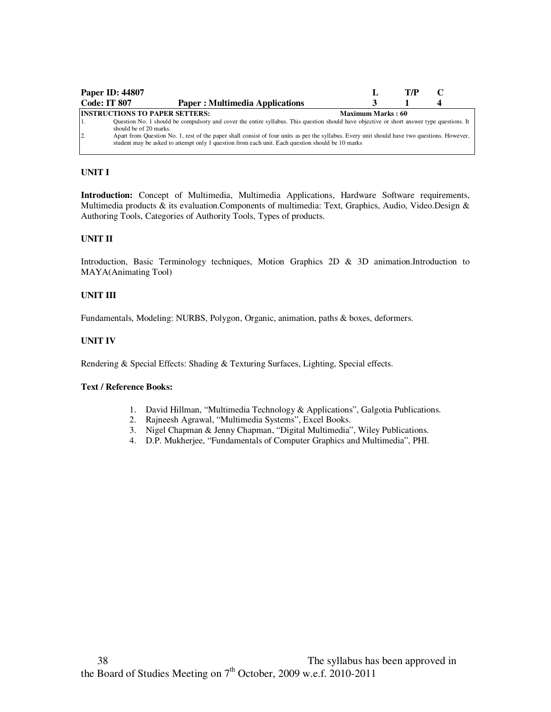|                     | <b>Paper ID: 44807</b>                                                                                                                                                                                                                           |                          | T/P |  |
|---------------------|--------------------------------------------------------------------------------------------------------------------------------------------------------------------------------------------------------------------------------------------------|--------------------------|-----|--|
| <b>Code: IT 807</b> | <b>Paper: Multimedia Applications</b>                                                                                                                                                                                                            |                          |     |  |
|                     | <b>INSTRUCTIONS TO PAPER SETTERS:</b>                                                                                                                                                                                                            | <b>Maximum Marks: 60</b> |     |  |
| 1.                  | Question No. 1 should be compulsory and cover the entire syllabus. This question should have objective or short answer type questions. It<br>should be of 20 marks.                                                                              |                          |     |  |
| $\overline{2}$      | Apart from Question No. 1, rest of the paper shall consist of four units as per the syllabus. Every unit should have two questions. However,<br>student may be asked to attempt only 1 question from each unit. Each question should be 10 marks |                          |     |  |

**Introduction:** Concept of Multimedia, Multimedia Applications, Hardware Software requirements, Multimedia products & its evaluation.Components of multimedia: Text, Graphics, Audio, Video.Design & Authoring Tools, Categories of Authority Tools, Types of products.

## **UNIT II**

Introduction, Basic Terminology techniques, Motion Graphics 2D & 3D animation.Introduction to MAYA(Animating Tool)

## **UNIT III**

Fundamentals, Modeling: NURBS, Polygon, Organic, animation, paths & boxes, deformers.

# **UNIT IV**

Rendering & Special Effects: Shading & Texturing Surfaces, Lighting, Special effects.

## **Text / Reference Books:**

- 1. David Hillman, "Multimedia Technology & Applications", Galgotia Publications.
- 2. Rajneesh Agrawal, "Multimedia Systems", Excel Books.
- 3. Nigel Chapman & Jenny Chapman, "Digital Multimedia", Wiley Publications.
- 4. D.P. Mukherjee, "Fundamentals of Computer Graphics and Multimedia", PHI.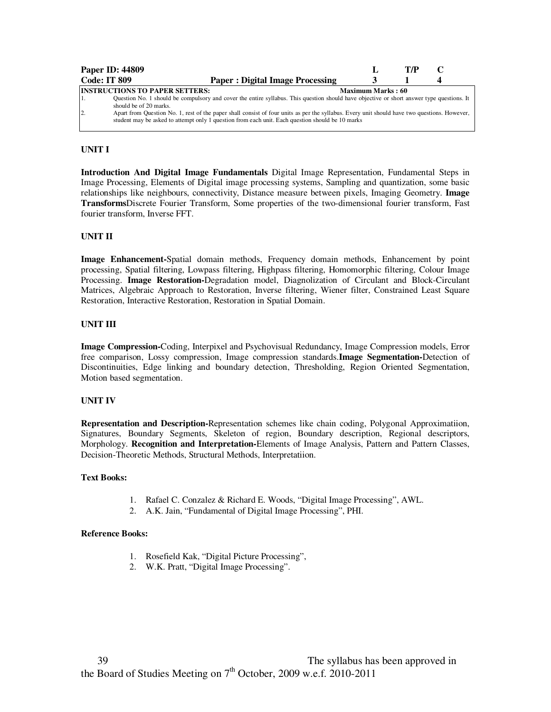|                     | <b>Paper ID: 44809</b>                                                                                                                                                                                                                                                                                                                                                                                                                                           |                   | T/P |  |
|---------------------|------------------------------------------------------------------------------------------------------------------------------------------------------------------------------------------------------------------------------------------------------------------------------------------------------------------------------------------------------------------------------------------------------------------------------------------------------------------|-------------------|-----|--|
| <b>Code: IT 809</b> | <b>Paper: Digital Image Processing</b>                                                                                                                                                                                                                                                                                                                                                                                                                           |                   |     |  |
| 12.                 | <b>INSTRUCTIONS TO PAPER SETTERS:</b><br>Question No. 1 should be compulsory and cover the entire syllabus. This question should have objective or short answer type questions. It<br>should be of 20 marks.<br>Apart from Question No. 1, rest of the paper shall consist of four units as per the syllabus. Every unit should have two questions. However,<br>student may be asked to attempt only 1 question from each unit. Each question should be 10 marks | Maximum Marks: 60 |     |  |

**Introduction And Digital Image Fundamentals** Digital Image Representation, Fundamental Steps in Image Processing, Elements of Digital image processing systems, Sampling and quantization, some basic relationships like neighbours, connectivity, Distance measure between pixels, Imaging Geometry. **Image Transforms**Discrete Fourier Transform, Some properties of the two-dimensional fourier transform, Fast fourier transform, Inverse FFT.

## **UNIT II**

**Image Enhancement-**Spatial domain methods, Frequency domain methods, Enhancement by point processing, Spatial filtering, Lowpass filtering, Highpass filtering, Homomorphic filtering, Colour Image Processing. **Image Restoration-**Degradation model, Diagnolization of Circulant and Block-Circulant Matrices, Algebraic Approach to Restoration, Inverse filtering, Wiener filter, Constrained Least Square Restoration, Interactive Restoration, Restoration in Spatial Domain.

## **UNIT III**

**Image Compression-**Coding, Interpixel and Psychovisual Redundancy, Image Compression models, Error free comparison, Lossy compression, Image compression standards.**Image Segmentation-**Detection of Discontinuities, Edge linking and boundary detection, Thresholding, Region Oriented Segmentation, Motion based segmentation.

## **UNIT IV**

**Representation and Description-**Representation schemes like chain coding, Polygonal Approximatiion, Signatures, Boundary Segments, Skeleton of region, Boundary description, Regional descriptors, Morphology. **Recognition and Interpretation-**Elements of Image Analysis, Pattern and Pattern Classes, Decision-Theoretic Methods, Structural Methods, Interpretatiion.

#### **Text Books:**

- 1. Rafael C. Conzalez & Richard E. Woods, "Digital Image Processing", AWL.
- 2. A.K. Jain, "Fundamental of Digital Image Processing", PHI.

- 1. Rosefield Kak, "Digital Picture Processing",
- 2. W.K. Pratt, "Digital Image Processing".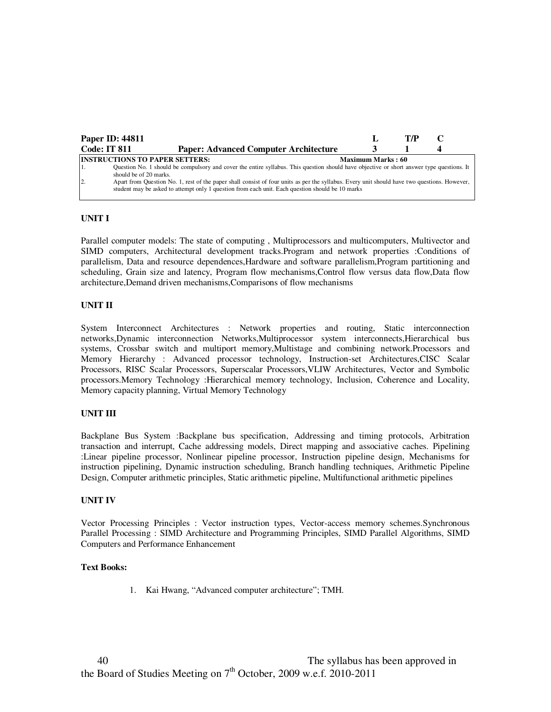|                     | <b>Paper ID: 44811</b>                                                                                                                                                                                                                           |                          | T/P |  |
|---------------------|--------------------------------------------------------------------------------------------------------------------------------------------------------------------------------------------------------------------------------------------------|--------------------------|-----|--|
| <b>Code: IT 811</b> | <b>Paper: Advanced Computer Architecture</b>                                                                                                                                                                                                     |                          |     |  |
|                     | <b>INSTRUCTIONS TO PAPER SETTERS:</b>                                                                                                                                                                                                            | <b>Maximum Marks: 60</b> |     |  |
|                     | Question No. 1 should be compulsory and cover the entire syllabus. This question should have objective or short answer type questions. It<br>should be of 20 marks.                                                                              |                          |     |  |
| $\overline{2}$ .    | Apart from Question No. 1, rest of the paper shall consist of four units as per the syllabus. Every unit should have two questions. However,<br>student may be asked to attempt only 1 question from each unit. Each question should be 10 marks |                          |     |  |

Parallel computer models: The state of computing , Multiprocessors and multicomputers, Multivector and SIMD computers, Architectural development tracks.Program and network properties :Conditions of parallelism, Data and resource dependences,Hardware and software parallelism,Program partitioning and scheduling, Grain size and latency, Program flow mechanisms,Control flow versus data flow,Data flow architecture,Demand driven mechanisms,Comparisons of flow mechanisms

#### **UNIT II**

System Interconnect Architectures : Network properties and routing, Static interconnection networks,Dynamic interconnection Networks,Multiprocessor system interconnects,Hierarchical bus systems, Crossbar switch and multiport memory,Multistage and combining network.Processors and Memory Hierarchy : Advanced processor technology, Instruction-set Architectures,CISC Scalar Processors, RISC Scalar Processors, Superscalar Processors,VLIW Architectures, Vector and Symbolic processors.Memory Technology :Hierarchical memory technology, Inclusion, Coherence and Locality, Memory capacity planning, Virtual Memory Technology

## **UNIT III**

Backplane Bus System :Backplane bus specification, Addressing and timing protocols, Arbitration transaction and interrupt, Cache addressing models, Direct mapping and associative caches. Pipelining :Linear pipeline processor, Nonlinear pipeline processor, Instruction pipeline design, Mechanisms for instruction pipelining, Dynamic instruction scheduling, Branch handling techniques, Arithmetic Pipeline Design, Computer arithmetic principles, Static arithmetic pipeline, Multifunctional arithmetic pipelines

#### **UNIT IV**

Vector Processing Principles : Vector instruction types, Vector-access memory schemes.Synchronous Parallel Processing : SIMD Architecture and Programming Principles, SIMD Parallel Algorithms, SIMD Computers and Performance Enhancement

#### **Text Books:**

1. Kai Hwang, "Advanced computer architecture"; TMH.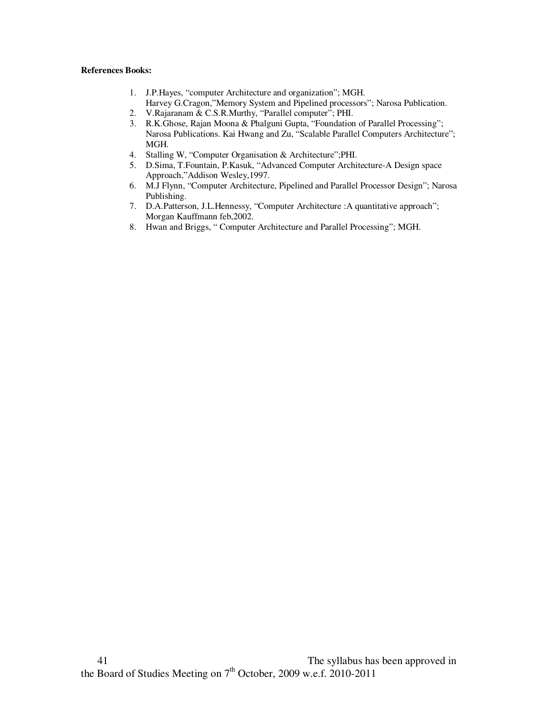- 1. J.P.Hayes, "computer Architecture and organization"; MGH. Harvey G.Cragon,"Memory System and Pipelined processors"; Narosa Publication.
- 2. V.Rajaranam & C.S.R.Murthy, "Parallel computer"; PHI.
- 3. R.K.Ghose, Rajan Moona & Phalguni Gupta, "Foundation of Parallel Processing"; Narosa Publications. Kai Hwang and Zu, "Scalable Parallel Computers Architecture"; MGH.
- 4. Stalling W, "Computer Organisation & Architecture";PHI.
- 5. D.Sima, T.Fountain, P.Kasuk, "Advanced Computer Architecture-A Design space Approach,"Addison Wesley,1997.
- 6. M.J Flynn, "Computer Architecture, Pipelined and Parallel Processor Design"; Narosa Publishing.
- 7. D.A.Patterson, J.L.Hennessy, "Computer Architecture :A quantitative approach"; Morgan Kauffmann feb,2002.
- 8. Hwan and Briggs, " Computer Architecture and Parallel Processing"; MGH.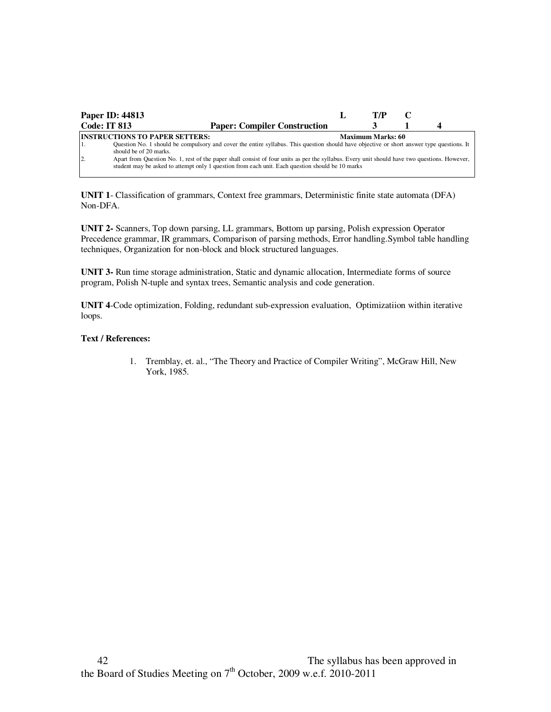|                     | <b>Paper ID: 44813</b>                                                                                                                                                                                                                           | T/P                      |  |
|---------------------|--------------------------------------------------------------------------------------------------------------------------------------------------------------------------------------------------------------------------------------------------|--------------------------|--|
| <b>Code: IT 813</b> | <b>Paper: Compiler Construction</b>                                                                                                                                                                                                              |                          |  |
|                     | <b>INSTRUCTIONS TO PAPER SETTERS:</b>                                                                                                                                                                                                            | <b>Maximum Marks: 60</b> |  |
|                     | Question No. 1 should be compulsory and cover the entire syllabus. This question should have objective or short answer type questions. It<br>should be of 20 marks.                                                                              |                          |  |
| $\overline{2}$      | Apart from Question No. 1, rest of the paper shall consist of four units as per the syllabus. Every unit should have two questions. However,<br>student may be asked to attempt only 1 question from each unit. Each question should be 10 marks |                          |  |

**UNIT 1**- Classification of grammars, Context free grammars, Deterministic finite state automata (DFA) Non-DFA.

**UNIT 2-** Scanners, Top down parsing, LL grammars, Bottom up parsing, Polish expression Operator Precedence grammar, IR grammars, Comparison of parsing methods, Error handling.Symbol table handling techniques, Organization for non-block and block structured languages.

**UNIT 3-** Run time storage administration, Static and dynamic allocation, Intermediate forms of source program, Polish N-tuple and syntax trees, Semantic analysis and code generation.

**UNIT 4**-Code optimization, Folding, redundant sub-expression evaluation, Optimizatiion within iterative loops.

## **Text / References:**

1. Tremblay, et. al., "The Theory and Practice of Compiler Writing", McGraw Hill, New York, 1985.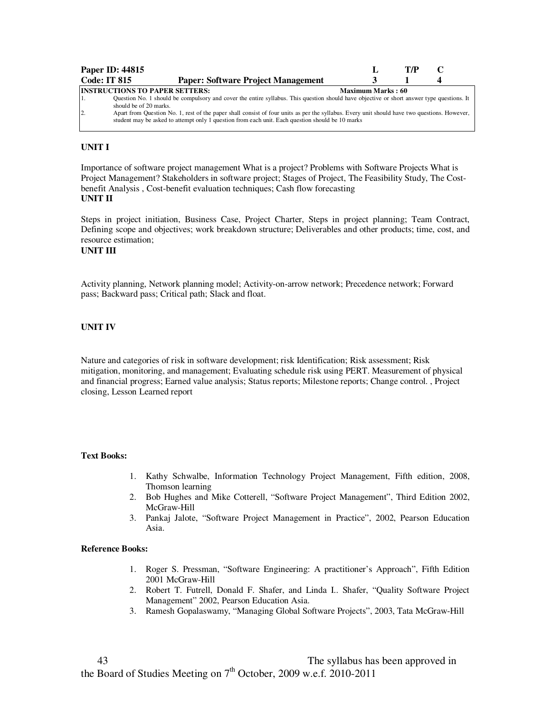|                | Paper ID: 44815                       |                                                                                                                                                                                                                                                  |                   | T/P |  |
|----------------|---------------------------------------|--------------------------------------------------------------------------------------------------------------------------------------------------------------------------------------------------------------------------------------------------|-------------------|-----|--|
|                | <b>Code: IT 815</b>                   | <b>Paper: Software Project Management</b>                                                                                                                                                                                                        |                   |     |  |
|                | <b>INSTRUCTIONS TO PAPER SETTERS:</b> |                                                                                                                                                                                                                                                  | Maximum Marks: 60 |     |  |
|                | should be of 20 marks.                | Question No. 1 should be compulsory and cover the entire syllabus. This question should have objective or short answer type questions. It                                                                                                        |                   |     |  |
| $\overline{2}$ |                                       | Apart from Question No. 1, rest of the paper shall consist of four units as per the syllabus. Every unit should have two questions. However,<br>student may be asked to attempt only 1 question from each unit. Each question should be 10 marks |                   |     |  |

Importance of software project management What is a project? Problems with Software Projects What is Project Management? Stakeholders in software project; Stages of Project, The Feasibility Study, The Costbenefit Analysis , Cost-benefit evaluation techniques; Cash flow forecasting **UNIT II** 

Steps in project initiation, Business Case, Project Charter, Steps in project planning; Team Contract, Defining scope and objectives; work breakdown structure; Deliverables and other products; time, cost, and resource estimation;

## **UNIT III**

Activity planning, Network planning model; Activity-on-arrow network; Precedence network; Forward pass; Backward pass; Critical path; Slack and float.

## **UNIT IV**

Nature and categories of risk in software development; risk Identification; Risk assessment; Risk mitigation, monitoring, and management; Evaluating schedule risk using PERT. Measurement of physical and financial progress; Earned value analysis; Status reports; Milestone reports; Change control. , Project closing, Lesson Learned report

#### **Text Books:**

- 1. Kathy Schwalbe, Information Technology Project Management, Fifth edition, 2008, Thomson learning
- 2. Bob Hughes and Mike Cotterell, "Software Project Management", Third Edition 2002, McGraw-Hill
- 3. Pankaj Jalote, "Software Project Management in Practice", 2002, Pearson Education Asia.

- 1. Roger S. Pressman, "Software Engineering: A practitioner's Approach", Fifth Edition 2001 McGraw-Hill
- 2. Robert T. Futrell, Donald F. Shafer, and Linda I.. Shafer, "Quality Software Project Management" 2002, Pearson Education Asia.
- 3. Ramesh Gopalaswamy, "Managing Global Software Projects", 2003, Tata McGraw-Hill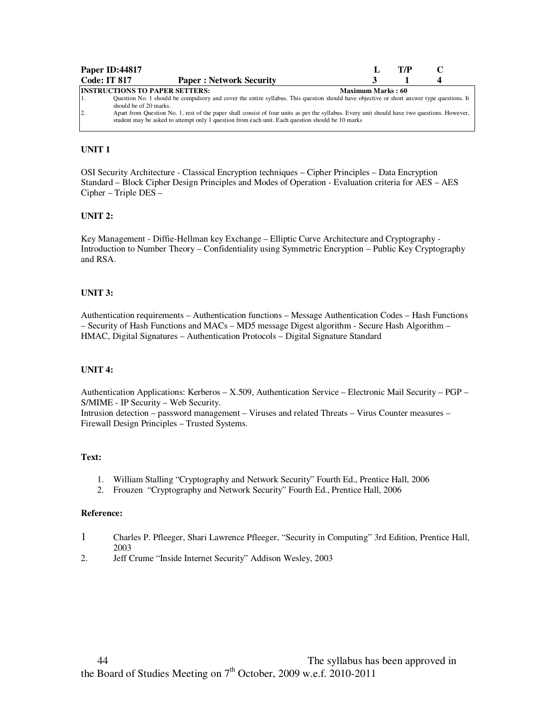| Paper ID:44817                                                                    |                                                                                                                                                                                                                                                                                           |                          | T/P |  |
|-----------------------------------------------------------------------------------|-------------------------------------------------------------------------------------------------------------------------------------------------------------------------------------------------------------------------------------------------------------------------------------------|--------------------------|-----|--|
| <b>Code: IT 817</b>                                                               | <b>Paper: Network Security</b>                                                                                                                                                                                                                                                            |                          |     |  |
| <b>INSTRUCTIONS TO PAPER SETTERS:</b><br>should be of 20 marks.<br>$\overline{2}$ | Question No. 1 should be compulsory and cover the entire syllabus. This question should have objective or short answer type questions. It<br>Apart from Question No. 1, rest of the paper shall consist of four units as per the syllabus. Every unit should have two questions. However, | <b>Maximum Marks: 60</b> |     |  |
|                                                                                   | student may be asked to attempt only 1 question from each unit. Each question should be 10 marks                                                                                                                                                                                          |                          |     |  |

# **UNIT 1**

OSI Security Architecture - Classical Encryption techniques – Cipher Principles – Data Encryption Standard – Block Cipher Design Principles and Modes of Operation - Evaluation criteria for AES – AES Cipher – Triple DES –

## **UNIT 2:**

Key Management - Diffie-Hellman key Exchange – Elliptic Curve Architecture and Cryptography - Introduction to Number Theory – Confidentiality using Symmetric Encryption – Public Key Cryptography and RSA.

## **UNIT 3:**

Authentication requirements – Authentication functions – Message Authentication Codes – Hash Functions – Security of Hash Functions and MACs – MD5 message Digest algorithm - Secure Hash Algorithm – HMAC, Digital Signatures – Authentication Protocols – Digital Signature Standard

## **UNIT 4:**

Authentication Applications: Kerberos – X.509, Authentication Service – Electronic Mail Security – PGP – S/MIME - IP Security – Web Security.

Intrusion detection – password management – Viruses and related Threats – Virus Counter measures – Firewall Design Principles – Trusted Systems.

#### **Text:**

- 1. William Stalling "Cryptography and Network Security" Fourth Ed., Prentice Hall, 2006
- 2. Frouzen "Cryptography and Network Security" Fourth Ed., Prentice Hall, 2006

#### **Reference:**

- 1 Charles P. Pfleeger, Shari Lawrence Pfleeger, "Security in Computing" 3rd Edition, Prentice Hall, 2003
- 2. Jeff Crume "Inside Internet Security" Addison Wesley, 2003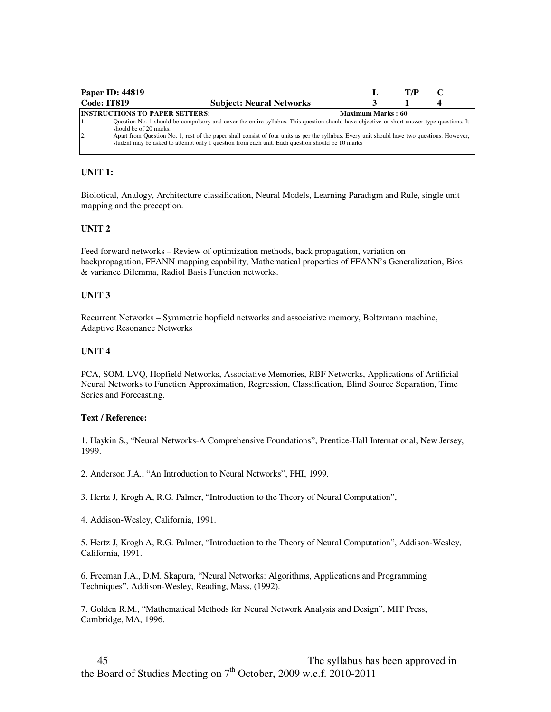|                  | <b>Paper ID: 44819</b>                                                                                                                                                                                                                           |                          | T/P |  |
|------------------|--------------------------------------------------------------------------------------------------------------------------------------------------------------------------------------------------------------------------------------------------|--------------------------|-----|--|
| Code: IT819      | <b>Subject: Neural Networks</b>                                                                                                                                                                                                                  |                          |     |  |
|                  | <b>INSTRUCTIONS TO PAPER SETTERS:</b>                                                                                                                                                                                                            | <b>Maximum Marks: 60</b> |     |  |
| 11.              | Question No. 1 should be compulsory and cover the entire syllabus. This question should have objective or short answer type questions. It<br>should be of 20 marks.                                                                              |                          |     |  |
| $\overline{2}$ . | Apart from Question No. 1, rest of the paper shall consist of four units as per the syllabus. Every unit should have two questions. However,<br>student may be asked to attempt only 1 question from each unit. Each question should be 10 marks |                          |     |  |

## **UNIT 1:**

Biolotical, Analogy, Architecture classification, Neural Models, Learning Paradigm and Rule, single unit mapping and the preception.

#### **UNIT 2**

Feed forward networks – Review of optimization methods, back propagation, variation on backpropagation, FFANN mapping capability, Mathematical properties of FFANN's Generalization, Bios & variance Dilemma, Radiol Basis Function networks.

#### **UNIT 3**

Recurrent Networks – Symmetric hopfield networks and associative memory, Boltzmann machine, Adaptive Resonance Networks

#### **UNIT 4**

PCA, SOM, LVQ, Hopfield Networks, Associative Memories, RBF Networks, Applications of Artificial Neural Networks to Function Approximation, Regression, Classification, Blind Source Separation, Time Series and Forecasting.

#### **Text / Reference:**

1. Haykin S., "Neural Networks-A Comprehensive Foundations", Prentice-Hall International, New Jersey, 1999.

2. Anderson J.A., "An Introduction to Neural Networks", PHI, 1999.

3. Hertz J, Krogh A, R.G. Palmer, "Introduction to the Theory of Neural Computation",

4. Addison-Wesley, California, 1991.

5. Hertz J, Krogh A, R.G. Palmer, "Introduction to the Theory of Neural Computation", Addison-Wesley, California, 1991.

6. Freeman J.A., D.M. Skapura, "Neural Networks: Algorithms, Applications and Programming Techniques", Addison-Wesley, Reading, Mass, (1992).

7. Golden R.M., "Mathematical Methods for Neural Network Analysis and Design", MIT Press, Cambridge, MA, 1996.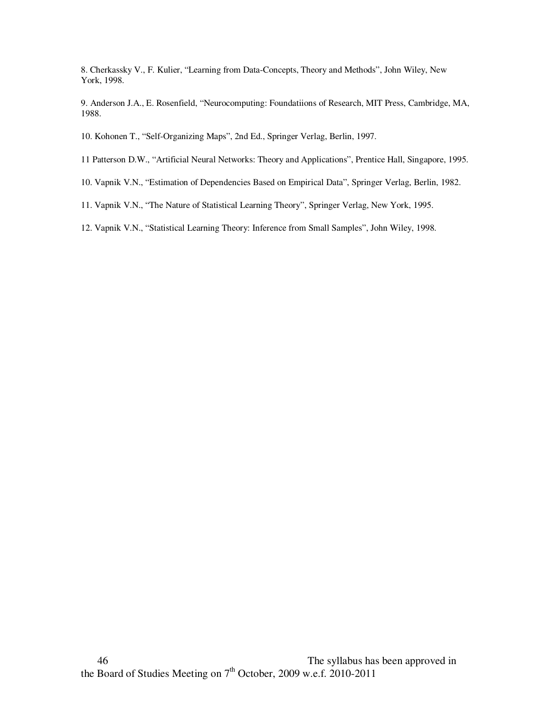8. Cherkassky V., F. Kulier, "Learning from Data-Concepts, Theory and Methods", John Wiley, New York, 1998.

9. Anderson J.A., E. Rosenfield, "Neurocomputing: Foundatiions of Research, MIT Press, Cambridge, MA, 1988.

- 10. Kohonen T., "Self-Organizing Maps", 2nd Ed., Springer Verlag, Berlin, 1997.
- 11 Patterson D.W., "Artificial Neural Networks: Theory and Applications", Prentice Hall, Singapore, 1995.
- 10. Vapnik V.N., "Estimation of Dependencies Based on Empirical Data", Springer Verlag, Berlin, 1982.
- 11. Vapnik V.N., "The Nature of Statistical Learning Theory", Springer Verlag, New York, 1995.
- 12. Vapnik V.N., "Statistical Learning Theory: Inference from Small Samples", John Wiley, 1998.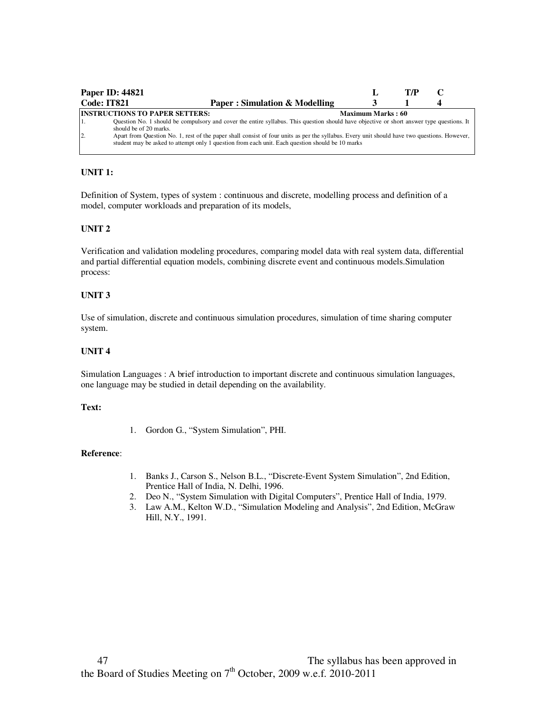|                  | <b>Paper ID: 44821</b>                                                                                                                                                                                                                           |                   | T/P |  |
|------------------|--------------------------------------------------------------------------------------------------------------------------------------------------------------------------------------------------------------------------------------------------|-------------------|-----|--|
| Code: IT821      | Paper: Simulation & Modelling                                                                                                                                                                                                                    |                   |     |  |
|                  | <b>INSTRUCTIONS TO PAPER SETTERS:</b>                                                                                                                                                                                                            | Maximum Marks: 60 |     |  |
| 1.               | Question No. 1 should be compulsory and cover the entire syllabus. This question should have objective or short answer type questions. It<br>should be of 20 marks.                                                                              |                   |     |  |
| $\overline{2}$ . | Apart from Question No. 1, rest of the paper shall consist of four units as per the syllabus. Every unit should have two questions. However,<br>student may be asked to attempt only 1 question from each unit. Each question should be 10 marks |                   |     |  |

## **UNIT 1:**

Definition of System, types of system : continuous and discrete, modelling process and definition of a model, computer workloads and preparation of its models,

#### **UNIT 2**

Verification and validation modeling procedures, comparing model data with real system data, differential and partial differential equation models, combining discrete event and continuous models.Simulation process:

#### **UNIT 3**

Use of simulation, discrete and continuous simulation procedures, simulation of time sharing computer system.

#### **UNIT 4**

Simulation Languages : A brief introduction to important discrete and continuous simulation languages, one language may be studied in detail depending on the availability.

#### **Text:**

1. Gordon G., "System Simulation", PHI.

#### **Reference**:

- 1. Banks J., Carson S., Nelson B.L., "Discrete-Event System Simulation", 2nd Edition, Prentice Hall of India, N. Delhi, 1996.
- 2. Deo N., "System Simulation with Digital Computers", Prentice Hall of India, 1979.
- 3. Law A.M., Kelton W.D., "Simulation Modeling and Analysis", 2nd Edition, McGraw Hill, N.Y., 1991.